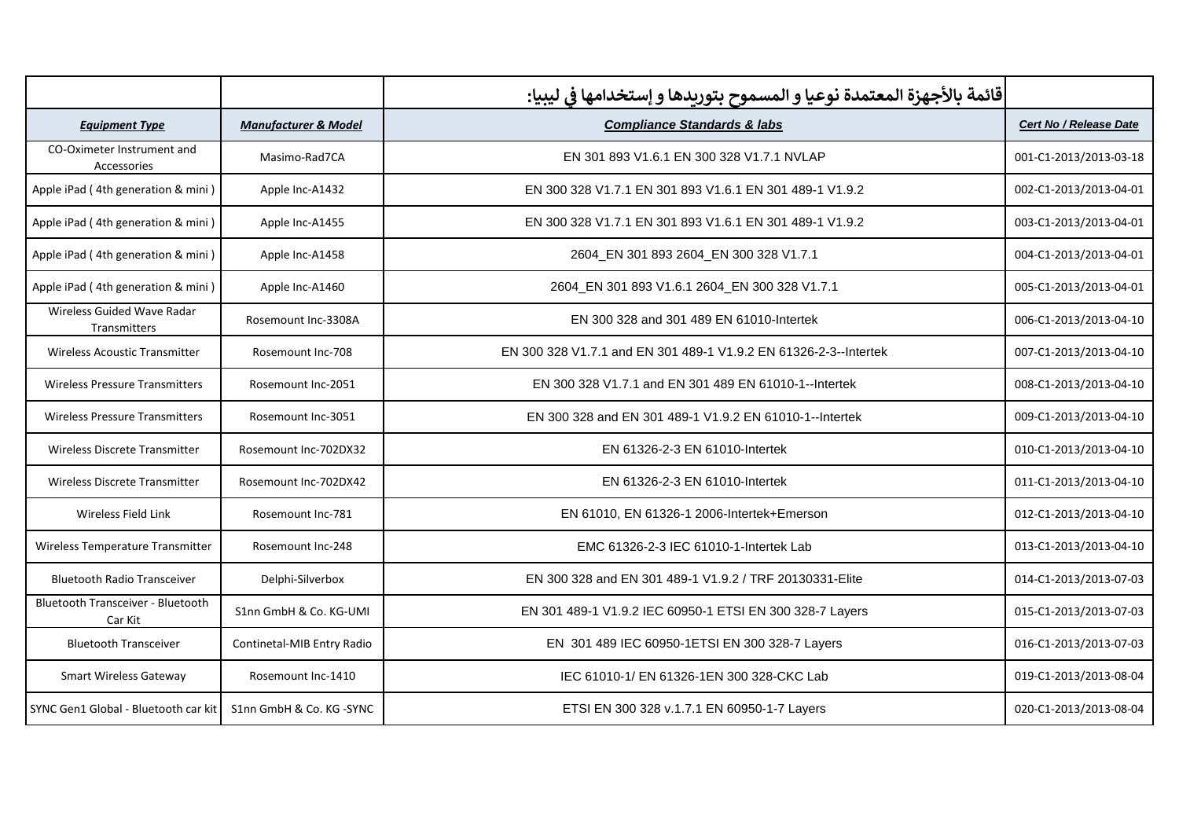|                                                     |                                 | قائمة بالأجهزة المعتمدة نوعيا و المسموح بتوريدها و إستخدامها في ليبيا: |                        |
|-----------------------------------------------------|---------------------------------|------------------------------------------------------------------------|------------------------|
| <b>Equipment Type</b>                               | <b>Manufacturer &amp; Model</b> | <b>Compliance Standards &amp; labs</b>                                 | Cert No / Release Date |
| CO-Oximeter Instrument and<br>Accessories           | Masimo-Rad7CA                   | EN 301 893 V1.6.1 EN 300 328 V1.7.1 NVLAP                              | 001-C1-2013/2013-03-18 |
| Apple iPad (4th generation & mini)                  | Apple Inc-A1432                 | EN 300 328 V1.7.1 EN 301 893 V1.6.1 EN 301 489-1 V1.9.2                | 002-C1-2013/2013-04-01 |
| Apple iPad (4th generation & mini)                  | Apple Inc-A1455                 | EN 300 328 V1.7.1 EN 301 893 V1.6.1 EN 301 489-1 V1.9.2                | 003-C1-2013/2013-04-01 |
| Apple iPad (4th generation & mini)                  | Apple Inc-A1458                 | 2604 EN 301 893 2604 EN 300 328 V1.7.1                                 | 004-C1-2013/2013-04-01 |
| Apple iPad (4th generation & mini)                  | Apple Inc-A1460                 | 2604_EN 301 893 V1.6.1 2604_EN 300 328 V1.7.1                          | 005-C1-2013/2013-04-01 |
| Wireless Guided Wave Radar<br>Transmitters          | Rosemount Inc-3308A             | EN 300 328 and 301 489 EN 61010-Intertek                               | 006-C1-2013/2013-04-10 |
| <b>Wireless Acoustic Transmitter</b>                | Rosemount Inc-708               | EN 300 328 V1.7.1 and EN 301 489-1 V1.9.2 EN 61326-2-3--Intertek       | 007-C1-2013/2013-04-10 |
| <b>Wireless Pressure Transmitters</b>               | Rosemount Inc-2051              | EN 300 328 V1.7.1 and EN 301 489 EN 61010-1-- Intertek                 | 008-C1-2013/2013-04-10 |
| <b>Wireless Pressure Transmitters</b>               | Rosemount Inc-3051              | EN 300 328 and EN 301 489-1 V1.9.2 EN 61010-1-- Intertek               | 009-C1-2013/2013-04-10 |
| <b>Wireless Discrete Transmitter</b>                | Rosemount Inc-702DX32           | EN 61326-2-3 EN 61010-Intertek                                         | 010-C1-2013/2013-04-10 |
| <b>Wireless Discrete Transmitter</b>                | Rosemount Inc-702DX42           | EN 61326-2-3 EN 61010-Intertek                                         | 011-C1-2013/2013-04-10 |
| <b>Wireless Field Link</b>                          | Rosemount Inc-781               | EN 61010, EN 61326-1 2006-Intertek+Emerson                             | 012-C1-2013/2013-04-10 |
| Wireless Temperature Transmitter                    | Rosemount Inc-248               | EMC 61326-2-3 IEC 61010-1-Intertek Lab                                 | 013-C1-2013/2013-04-10 |
| <b>Bluetooth Radio Transceiver</b>                  | Delphi-Silverbox                | EN 300 328 and EN 301 489-1 V1.9.2 / TRF 20130331-Elite                | 014-C1-2013/2013-07-03 |
| <b>Bluetooth Transceiver - Bluetooth</b><br>Car Kit | S1nn GmbH & Co. KG-UMI          | EN 301 489-1 V1.9.2 IEC 60950-1 ETSI EN 300 328-7 Layers               | 015-C1-2013/2013-07-03 |
| <b>Bluetooth Transceiver</b>                        | Continetal-MIB Entry Radio      | EN 301 489 IEC 60950-1ETSI EN 300 328-7 Layers                         | 016-C1-2013/2013-07-03 |
| <b>Smart Wireless Gateway</b>                       | Rosemount Inc-1410              | IEC 61010-1/ EN 61326-1EN 300 328-CKC Lab                              | 019-C1-2013/2013-08-04 |
| SYNC Gen1 Global - Bluetooth car kit                | S1nn GmbH & Co. KG -SYNC        | ETSI EN 300 328 v.1.7.1 EN 60950-1-7 Layers                            | 020-C1-2013/2013-08-04 |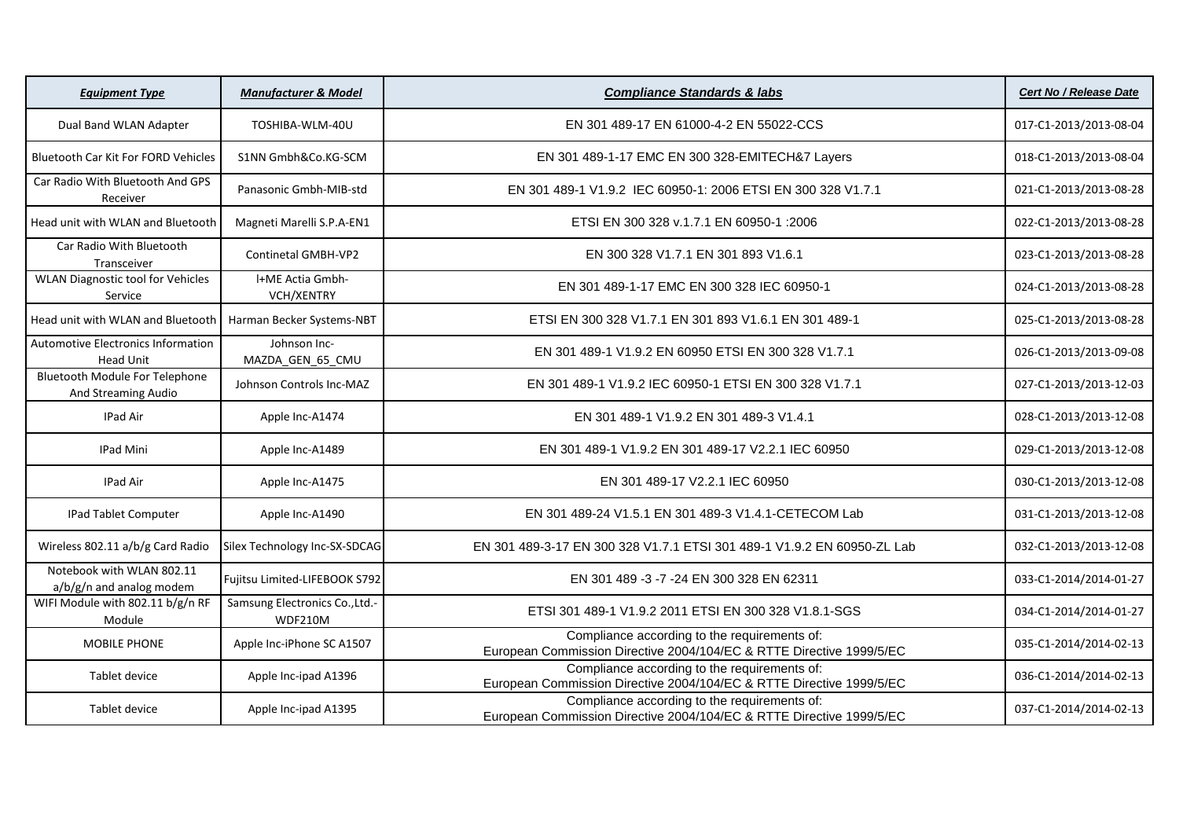| <b>Equipment Type</b>                                        | <b>Manufacturer &amp; Model</b>           | <b>Compliance Standards &amp; labs</b>                                                                               | <b>Cert No / Release Date</b> |
|--------------------------------------------------------------|-------------------------------------------|----------------------------------------------------------------------------------------------------------------------|-------------------------------|
| Dual Band WLAN Adapter                                       | TOSHIBA-WLM-40U                           | EN 301 489-17 EN 61000-4-2 EN 55022-CCS                                                                              | 017-C1-2013/2013-08-04        |
| <b>Bluetooth Car Kit For FORD Vehicles</b>                   | S1NN Gmbh&Co.KG-SCM                       | EN 301 489-1-17 EMC EN 300 328-EMITECH&7 Layers                                                                      | 018-C1-2013/2013-08-04        |
| Car Radio With Bluetooth And GPS<br>Receiver                 | Panasonic Gmbh-MIB-std                    | EN 301 489-1 V1.9.2 IEC 60950-1: 2006 ETSI EN 300 328 V1.7.1                                                         | 021-C1-2013/2013-08-28        |
| Head unit with WLAN and Bluetooth                            | Magneti Marelli S.P.A-EN1                 | ETSI EN 300 328 v.1.7.1 EN 60950-1 :2006                                                                             | 022-C1-2013/2013-08-28        |
| Car Radio With Bluetooth<br>Transceiver                      | <b>Continetal GMBH-VP2</b>                | EN 300 328 V1.7.1 EN 301 893 V1.6.1                                                                                  | 023-C1-2013/2013-08-28        |
| <b>WLAN Diagnostic tool for Vehicles</b><br>Service          | I+ME Actia Gmbh-<br><b>VCH/XENTRY</b>     | EN 301 489-1-17 EMC EN 300 328 IEC 60950-1                                                                           | 024-C1-2013/2013-08-28        |
| Head unit with WLAN and Bluetooth                            | Harman Becker Systems-NBT                 | ETSI EN 300 328 V1.7.1 EN 301 893 V1.6.1 EN 301 489-1                                                                | 025-C1-2013/2013-08-28        |
| Automotive Electronics Information<br><b>Head Unit</b>       | Johnson Inc-<br>MAZDA_GEN_65_CMU          | EN 301 489-1 V1.9.2 EN 60950 ETSI EN 300 328 V1.7.1                                                                  | 026-C1-2013/2013-09-08        |
| <b>Bluetooth Module For Telephone</b><br>And Streaming Audio | Johnson Controls Inc-MAZ                  | EN 301 489-1 V1.9.2 IEC 60950-1 ETSI EN 300 328 V1.7.1                                                               | 027-C1-2013/2013-12-03        |
| IPad Air                                                     | Apple Inc-A1474                           | EN 301 489-1 V1.9.2 EN 301 489-3 V1.4.1                                                                              | 028-C1-2013/2013-12-08        |
| IPad Mini                                                    | Apple Inc-A1489                           | EN 301 489-1 V1.9.2 EN 301 489-17 V2.2.1 IEC 60950                                                                   | 029-C1-2013/2013-12-08        |
| IPad Air                                                     | Apple Inc-A1475                           | EN 301 489-17 V2.2.1 IEC 60950                                                                                       | 030-C1-2013/2013-12-08        |
| <b>IPad Tablet Computer</b>                                  | Apple Inc-A1490                           | EN 301 489-24 V1.5.1 EN 301 489-3 V1.4.1-CETECOM Lab                                                                 | 031-C1-2013/2013-12-08        |
| Wireless 802.11 a/b/g Card Radio                             | Silex Technology Inc-SX-SDCAG             | EN 301 489-3-17 EN 300 328 V1.7.1 ETSI 301 489-1 V1.9.2 EN 60950-ZL Lab                                              | 032-C1-2013/2013-12-08        |
| Notebook with WLAN 802.11<br>a/b/g/n and analog modem        | Fujitsu Limited-LIFEBOOK S792             | EN 301 489 -3 -7 -24 EN 300 328 EN 62311                                                                             | 033-C1-2014/2014-01-27        |
| WIFI Module with 802.11 b/g/n RF<br>Module                   | Samsung Electronics Co., Ltd.-<br>WDF210M | ETSI 301 489-1 V1.9.2 2011 ETSI EN 300 328 V1.8.1-SGS                                                                | 034-C1-2014/2014-01-27        |
| <b>MOBILE PHONE</b>                                          | Apple Inc-iPhone SC A1507                 | Compliance according to the requirements of:<br>European Commission Directive 2004/104/EC & RTTE Directive 1999/5/EC | 035-C1-2014/2014-02-13        |
| Tablet device                                                | Apple Inc-ipad A1396                      | Compliance according to the requirements of:<br>European Commission Directive 2004/104/EC & RTTE Directive 1999/5/EC | 036-C1-2014/2014-02-13        |
| Tablet device                                                | Apple Inc-ipad A1395                      | Compliance according to the requirements of:<br>European Commission Directive 2004/104/EC & RTTE Directive 1999/5/EC | 037-C1-2014/2014-02-13        |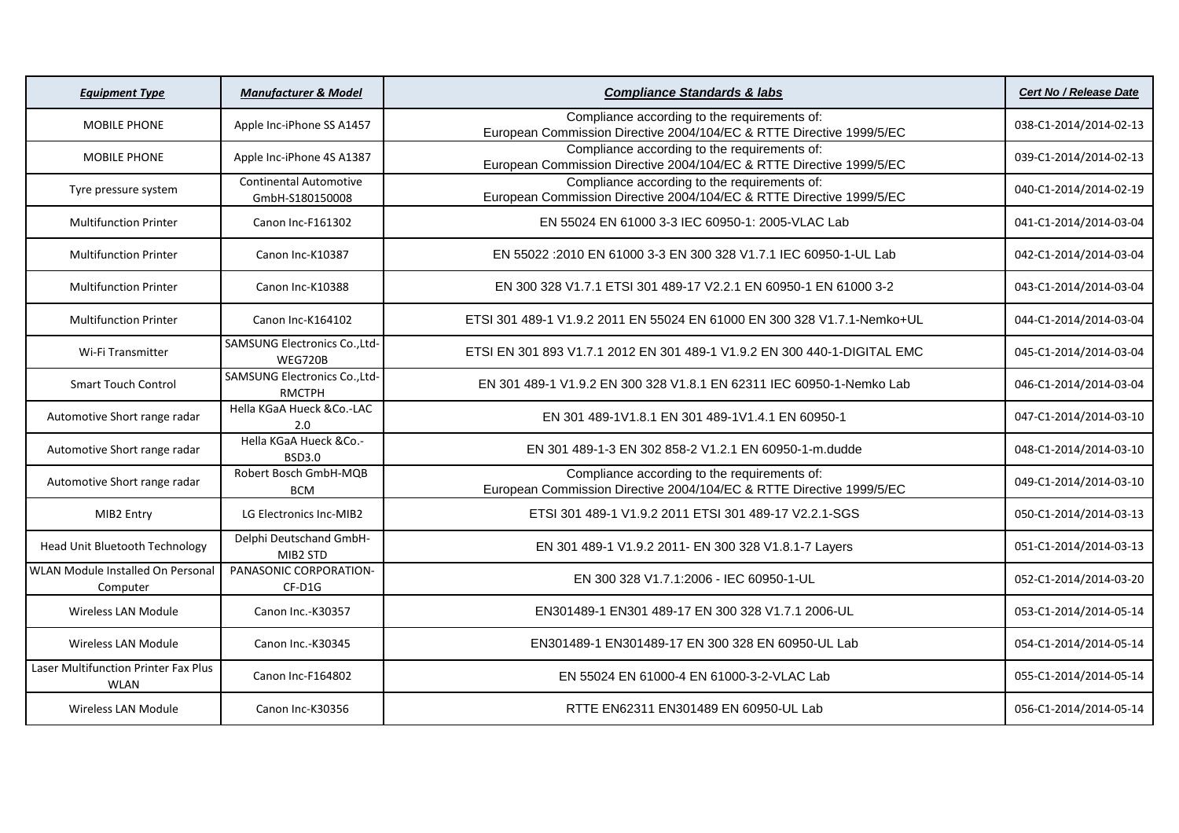| <b>Equipment Type</b>                                      | <b>Manufacturer &amp; Model</b>                  | <b>Compliance Standards &amp; labs</b>                                                                               | <b>Cert No / Release Date</b> |
|------------------------------------------------------------|--------------------------------------------------|----------------------------------------------------------------------------------------------------------------------|-------------------------------|
| <b>MOBILE PHONE</b>                                        | Apple Inc-iPhone SS A1457                        | Compliance according to the requirements of:<br>European Commission Directive 2004/104/EC & RTTE Directive 1999/5/EC | 038-C1-2014/2014-02-13        |
| <b>MOBILE PHONE</b>                                        | Apple Inc-iPhone 4S A1387                        | Compliance according to the requirements of:<br>European Commission Directive 2004/104/EC & RTTE Directive 1999/5/EC | 039-C1-2014/2014-02-13        |
| Tyre pressure system                                       | <b>Continental Automotive</b><br>GmbH-S180150008 | Compliance according to the requirements of:<br>European Commission Directive 2004/104/EC & RTTE Directive 1999/5/EC | 040-C1-2014/2014-02-19        |
| <b>Multifunction Printer</b>                               | Canon Inc-F161302                                | EN 55024 EN 61000 3-3 IEC 60950-1: 2005-VLAC Lab                                                                     | 041-C1-2014/2014-03-04        |
| <b>Multifunction Printer</b>                               | Canon Inc-K10387                                 | EN 55022 : 2010 EN 61000 3-3 EN 300 328 V1.7.1 IEC 60950-1-UL Lab                                                    | 042-C1-2014/2014-03-04        |
| <b>Multifunction Printer</b>                               | Canon Inc-K10388                                 | EN 300 328 V1.7.1 ETSI 301 489-17 V2.2.1 EN 60950-1 EN 61000 3-2                                                     | 043-C1-2014/2014-03-04        |
| <b>Multifunction Printer</b>                               | Canon Inc-K164102                                | ETSI 301 489-1 V1.9.2 2011 EN 55024 EN 61000 EN 300 328 V1.7.1-Nemko+UL                                              | 044-C1-2014/2014-03-04        |
| Wi-Fi Transmitter                                          | SAMSUNG Electronics Co., Ltd-<br><b>WEG720B</b>  | ETSI EN 301 893 V1.7.1 2012 EN 301 489-1 V1.9.2 EN 300 440-1-DIGITAL EMC                                             | 045-C1-2014/2014-03-04        |
| <b>Smart Touch Control</b>                                 | SAMSUNG Electronics Co., Ltd-<br><b>RMCTPH</b>   | EN 301 489-1 V1.9.2 EN 300 328 V1.8.1 EN 62311 IEC 60950-1-Nemko Lab                                                 | 046-C1-2014/2014-03-04        |
| Automotive Short range radar                               | Hella KGaA Hueck &Co.-LAC<br>2.0                 | EN 301 489-1V1.8.1 EN 301 489-1V1.4.1 EN 60950-1                                                                     | 047-C1-2014/2014-03-10        |
| Automotive Short range radar                               | Hella KGaA Hueck &Co.-<br><b>BSD3.0</b>          | EN 301 489-1-3 EN 302 858-2 V1.2.1 EN 60950-1-m.dudde                                                                | 048-C1-2014/2014-03-10        |
| Automotive Short range radar                               | Robert Bosch GmbH-MQB<br><b>BCM</b>              | Compliance according to the requirements of:<br>European Commission Directive 2004/104/EC & RTTE Directive 1999/5/EC | 049-C1-2014/2014-03-10        |
| MIB2 Entry                                                 | LG Electronics Inc-MIB2                          | ETSI 301 489-1 V1.9.2 2011 ETSI 301 489-17 V2.2.1-SGS                                                                | 050-C1-2014/2014-03-13        |
| Head Unit Bluetooth Technology                             | Delphi Deutschand GmbH-<br>MIB2 STD              | EN 301 489-1 V1.9.2 2011- EN 300 328 V1.8.1-7 Layers                                                                 | 051-C1-2014/2014-03-13        |
| WLAN Module Installed On Personal<br>Computer              | PANASONIC CORPORATION-<br>$CF-D1G$               | EN 300 328 V1.7.1:2006 - IEC 60950-1-UL                                                                              | 052-C1-2014/2014-03-20        |
| <b>Wireless LAN Module</b>                                 | Canon Inc.-K30357                                | EN301489-1 EN301 489-17 EN 300 328 V1.7.1 2006-UL                                                                    | 053-C1-2014/2014-05-14        |
| <b>Wireless LAN Module</b>                                 | Canon Inc.-K30345                                | EN301489-1 EN301489-17 EN 300 328 EN 60950-UL Lab                                                                    | 054-C1-2014/2014-05-14        |
| <b>Laser Multifunction Printer Fax Plus</b><br><b>WLAN</b> | Canon Inc-F164802                                | EN 55024 EN 61000-4 EN 61000-3-2-VLAC Lab                                                                            | 055-C1-2014/2014-05-14        |
| Wireless LAN Module                                        | Canon Inc-K30356                                 | RTTE EN62311 EN301489 EN 60950-UL Lab                                                                                | 056-C1-2014/2014-05-14        |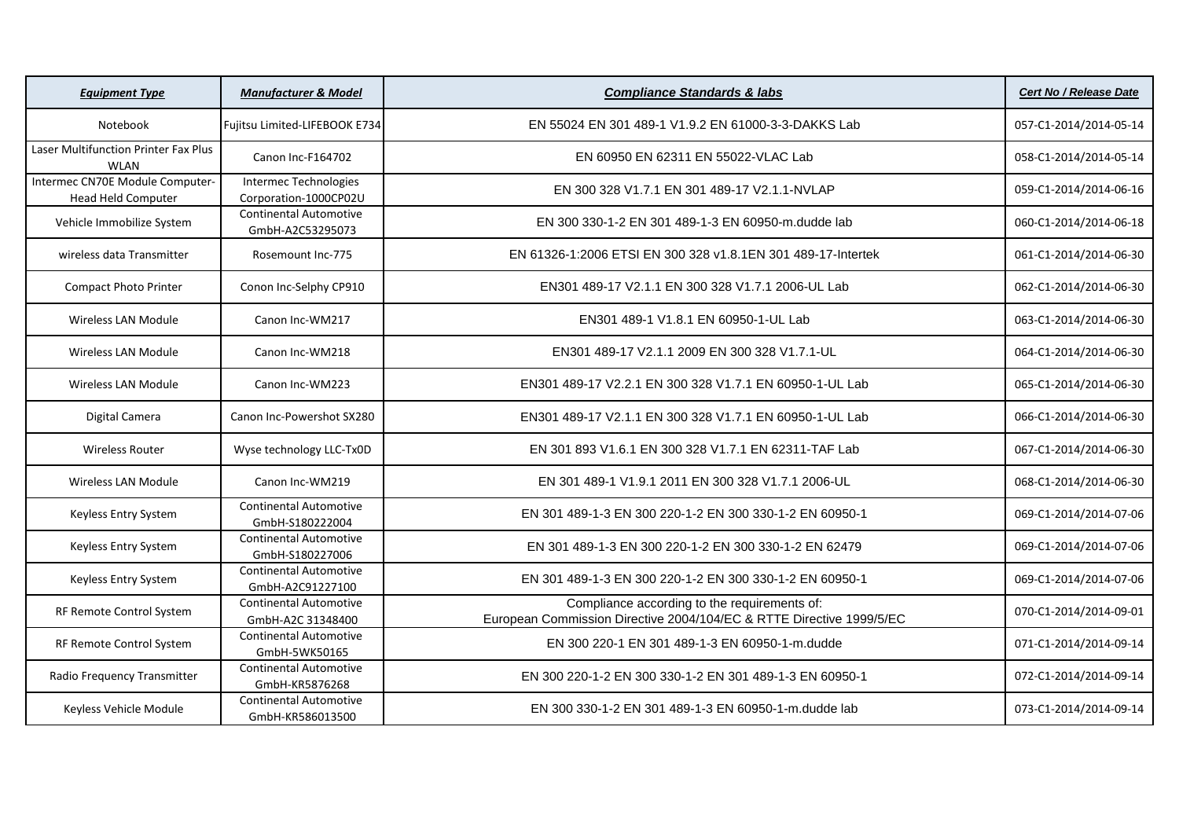| <b>Equipment Type</b>                                 | <b>Manufacturer &amp; Model</b>                    | <b>Compliance Standards &amp; labs</b>                                                                               | <b>Cert No / Release Date</b> |
|-------------------------------------------------------|----------------------------------------------------|----------------------------------------------------------------------------------------------------------------------|-------------------------------|
| Notebook                                              | Fujitsu Limited-LIFEBOOK E734                      | EN 55024 EN 301 489-1 V1.9.2 EN 61000-3-3-DAKKS Lab                                                                  | 057-C1-2014/2014-05-14        |
| Laser Multifunction Printer Fax Plus<br><b>WLAN</b>   | Canon Inc-F164702                                  | EN 60950 EN 62311 EN 55022-VLAC Lab                                                                                  | 058-C1-2014/2014-05-14        |
| Intermec CN70E Module Computer-<br>Head Held Computer | Intermec Technologies<br>Corporation-1000CP02U     | EN 300 328 V1.7.1 EN 301 489-17 V2.1.1-NVLAP                                                                         | 059-C1-2014/2014-06-16        |
| Vehicle Immobilize System                             | <b>Continental Automotive</b><br>GmbH-A2C53295073  | EN 300 330-1-2 EN 301 489-1-3 EN 60950-m.dudde lab                                                                   | 060-C1-2014/2014-06-18        |
| wireless data Transmitter                             | Rosemount Inc-775                                  | EN 61326-1:2006 ETSI EN 300 328 v1.8.1 EN 301 489-17-Intertek                                                        | 061-C1-2014/2014-06-30        |
| <b>Compact Photo Printer</b>                          | Conon Inc-Selphy CP910                             | EN301 489-17 V2.1.1 EN 300 328 V1.7.1 2006-UL Lab                                                                    | 062-C1-2014/2014-06-30        |
| Wireless LAN Module                                   | Canon Inc-WM217                                    | EN301 489-1 V1.8.1 EN 60950-1-UL Lab                                                                                 | 063-C1-2014/2014-06-30        |
| <b>Wireless LAN Module</b>                            | Canon Inc-WM218                                    | EN301 489-17 V2.1.1 2009 EN 300 328 V1.7.1-UL                                                                        | 064-C1-2014/2014-06-30        |
| <b>Wireless LAN Module</b>                            | Canon Inc-WM223                                    | EN301 489-17 V2.2.1 EN 300 328 V1.7.1 EN 60950-1-UL Lab                                                              | 065-C1-2014/2014-06-30        |
| Digital Camera                                        | Canon Inc-Powershot SX280                          | EN301 489-17 V2.1.1 EN 300 328 V1.7.1 EN 60950-1-UL Lab                                                              | 066-C1-2014/2014-06-30        |
| <b>Wireless Router</b>                                | Wyse technology LLC-Tx0D                           | EN 301 893 V1.6.1 EN 300 328 V1.7.1 EN 62311-TAF Lab                                                                 | 067-C1-2014/2014-06-30        |
| Wireless LAN Module                                   | Canon Inc-WM219                                    | EN 301 489-1 V1.9.1 2011 EN 300 328 V1.7.1 2006-UL                                                                   | 068-C1-2014/2014-06-30        |
| Keyless Entry System                                  | <b>Continental Automotive</b><br>GmbH-S180222004   | EN 301 489-1-3 EN 300 220-1-2 EN 300 330-1-2 EN 60950-1                                                              | 069-C1-2014/2014-07-06        |
| Keyless Entry System                                  | <b>Continental Automotive</b><br>GmbH-S180227006   | EN 301 489-1-3 EN 300 220-1-2 EN 300 330-1-2 EN 62479                                                                | 069-C1-2014/2014-07-06        |
| Keyless Entry System                                  | <b>Continental Automotive</b><br>GmbH-A2C91227100  | EN 301 489-1-3 EN 300 220-1-2 EN 300 330-1-2 EN 60950-1                                                              | 069-C1-2014/2014-07-06        |
| RF Remote Control System                              | <b>Continental Automotive</b><br>GmbH-A2C 31348400 | Compliance according to the requirements of:<br>European Commission Directive 2004/104/EC & RTTE Directive 1999/5/EC | 070-C1-2014/2014-09-01        |
| RF Remote Control System                              | <b>Continental Automotive</b><br>GmbH-5WK50165     | EN 300 220-1 EN 301 489-1-3 EN 60950-1-m.dudde                                                                       | 071-C1-2014/2014-09-14        |
| Radio Frequency Transmitter                           | <b>Continental Automotive</b><br>GmbH-KR5876268    | EN 300 220-1-2 EN 300 330-1-2 EN 301 489-1-3 EN 60950-1                                                              | 072-C1-2014/2014-09-14        |
| Keyless Vehicle Module                                | <b>Continental Automotive</b><br>GmbH-KR586013500  | EN 300 330-1-2 EN 301 489-1-3 EN 60950-1-m.dudde lab                                                                 | 073-C1-2014/2014-09-14        |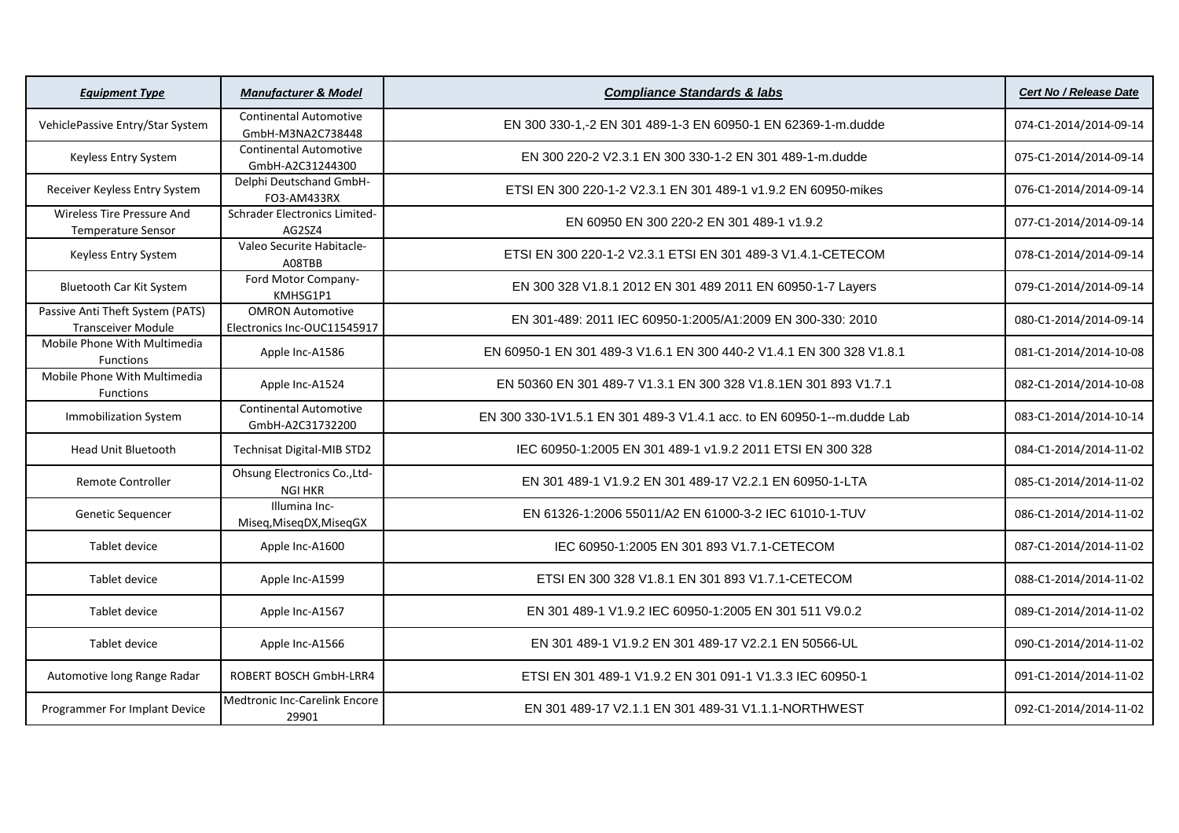| <b>Equipment Type</b>                                          | <b>Manufacturer &amp; Model</b>                        | <b>Compliance Standards &amp; labs</b>                                 | <b>Cert No / Release Date</b> |
|----------------------------------------------------------------|--------------------------------------------------------|------------------------------------------------------------------------|-------------------------------|
| VehiclePassive Entry/Star System                               | <b>Continental Automotive</b><br>GmbH-M3NA2C738448     | EN 300 330-1,-2 EN 301 489-1-3 EN 60950-1 EN 62369-1-m.dudde           | 074-C1-2014/2014-09-14        |
| Keyless Entry System                                           | <b>Continental Automotive</b><br>GmbH-A2C31244300      | EN 300 220-2 V2.3.1 EN 300 330-1-2 EN 301 489-1-m.dudde                | 075-C1-2014/2014-09-14        |
| Receiver Keyless Entry System                                  | Delphi Deutschand GmbH-<br>FO3-AM433RX                 | ETSI EN 300 220-1-2 V2.3.1 EN 301 489-1 v1.9.2 EN 60950-mikes          | 076-C1-2014/2014-09-14        |
| <b>Wireless Tire Pressure And</b><br><b>Temperature Sensor</b> | Schrader Electronics Limited-<br>AG2SZ4                | EN 60950 EN 300 220-2 EN 301 489-1 v1.9.2                              | 077-C1-2014/2014-09-14        |
| Keyless Entry System                                           | Valeo Securite Habitacle-<br>A08TBB                    | ETSI EN 300 220-1-2 V2.3.1 ETSI EN 301 489-3 V1.4.1-CETECOM            | 078-C1-2014/2014-09-14        |
| <b>Bluetooth Car Kit System</b>                                | Ford Motor Company-<br>KMHSG1P1                        | EN 300 328 V1.8.1 2012 EN 301 489 2011 EN 60950-1-7 Layers             | 079-C1-2014/2014-09-14        |
| Passive Anti Theft System (PATS)<br><b>Transceiver Module</b>  | <b>OMRON Automotive</b><br>Electronics Inc-OUC11545917 | EN 301-489: 2011 IEC 60950-1:2005/A1:2009 EN 300-330: 2010             | 080-C1-2014/2014-09-14        |
| Mobile Phone With Multimedia<br><b>Functions</b>               | Apple Inc-A1586                                        | EN 60950-1 EN 301 489-3 V1.6.1 EN 300 440-2 V1.4.1 EN 300 328 V1.8.1   | 081-C1-2014/2014-10-08        |
| Mobile Phone With Multimedia<br>Functions                      | Apple Inc-A1524                                        | EN 50360 EN 301 489-7 V1.3.1 EN 300 328 V1.8.1 EN 301 893 V1.7.1       | 082-C1-2014/2014-10-08        |
| <b>Immobilization System</b>                                   | <b>Continental Automotive</b><br>GmbH-A2C31732200      | EN 300 330-1V1.5.1 EN 301 489-3 V1.4.1 acc. to EN 60950-1--m.dudde Lab | 083-C1-2014/2014-10-14        |
| <b>Head Unit Bluetooth</b>                                     | Technisat Digital-MIB STD2                             | IEC 60950-1:2005 EN 301 489-1 v1.9.2 2011 ETSI EN 300 328              | 084-C1-2014/2014-11-02        |
| <b>Remote Controller</b>                                       | Ohsung Electronics Co., Ltd-<br><b>NGI HKR</b>         | EN 301 489-1 V1.9.2 EN 301 489-17 V2.2.1 EN 60950-1-LTA                | 085-C1-2014/2014-11-02        |
| Genetic Sequencer                                              | Illumina Inc-<br>Miseq, MiseqDX, MiseqGX               | EN 61326-1:2006 55011/A2 EN 61000-3-2 IEC 61010-1-TUV                  | 086-C1-2014/2014-11-02        |
| Tablet device                                                  | Apple Inc-A1600                                        | IEC 60950-1:2005 EN 301 893 V1.7.1-CETECOM                             | 087-C1-2014/2014-11-02        |
| Tablet device                                                  | Apple Inc-A1599                                        | ETSI EN 300 328 V1.8.1 EN 301 893 V1.7.1-CETECOM                       | 088-C1-2014/2014-11-02        |
| Tablet device                                                  | Apple Inc-A1567                                        | EN 301 489-1 V1.9.2 IEC 60950-1:2005 EN 301 511 V9.0.2                 | 089-C1-2014/2014-11-02        |
| Tablet device                                                  | Apple Inc-A1566                                        | EN 301 489-1 V1.9.2 EN 301 489-17 V2.2.1 EN 50566-UL                   | 090-C1-2014/2014-11-02        |
| Automotive long Range Radar                                    | ROBERT BOSCH GmbH-LRR4                                 | ETSI EN 301 489-1 V1.9.2 EN 301 091-1 V1.3.3 IEC 60950-1               | 091-C1-2014/2014-11-02        |
| Programmer For Implant Device                                  | <b>Medtronic Inc-Carelink Encore</b><br>29901          | EN 301 489-17 V2.1.1 EN 301 489-31 V1.1.1-NORTHWEST                    | 092-C1-2014/2014-11-02        |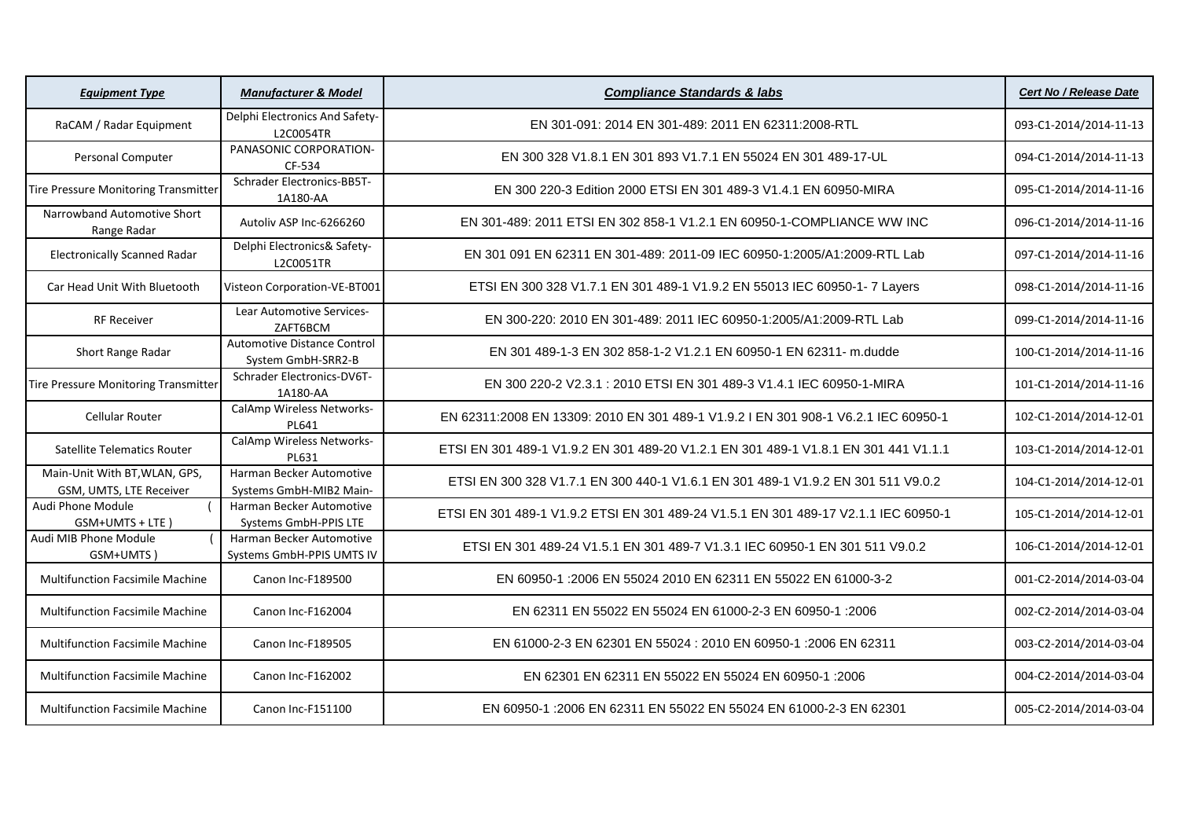| <b>Equipment Type</b>                                    | <b>Manufacturer &amp; Model</b>                       | <b>Compliance Standards &amp; labs</b>                                              | <b>Cert No / Release Date</b> |
|----------------------------------------------------------|-------------------------------------------------------|-------------------------------------------------------------------------------------|-------------------------------|
| RaCAM / Radar Equipment                                  | Delphi Electronics And Safety-<br>L2C0054TR           | EN 301-091: 2014 EN 301-489: 2011 EN 62311:2008-RTL                                 | 093-C1-2014/2014-11-13        |
| Personal Computer                                        | PANASONIC CORPORATION-<br>CF-534                      | EN 300 328 V1.8.1 EN 301 893 V1.7.1 EN 55024 EN 301 489-17-UL                       | 094-C1-2014/2014-11-13        |
| Tire Pressure Monitoring Transmitter                     | <b>Schrader Electronics-BB5T-</b><br>1A180-AA         | EN 300 220-3 Edition 2000 ETSI EN 301 489-3 V1.4.1 EN 60950-MIRA                    | 095-C1-2014/2014-11-16        |
| Narrowband Automotive Short<br>Range Radar               | Autoliv ASP Inc-6266260                               | EN 301-489: 2011 ETSI EN 302 858-1 V1.2.1 EN 60950-1-COMPLIANCE WW INC              | 096-C1-2014/2014-11-16        |
| <b>Electronically Scanned Radar</b>                      | Delphi Electronics& Safety-<br>L2C0051TR              | EN 301 091 EN 62311 EN 301-489: 2011-09 IEC 60950-1:2005/A1:2009-RTL Lab            | 097-C1-2014/2014-11-16        |
| Car Head Unit With Bluetooth                             | Visteon Corporation-VE-BT001                          | ETSI EN 300 328 V1.7.1 EN 301 489-1 V1.9.2 EN 55013 IEC 60950-1- 7 Layers           | 098-C1-2014/2014-11-16        |
| <b>RF Receiver</b>                                       | Lear Automotive Services-<br>ZAFT6BCM                 | EN 300-220: 2010 EN 301-489: 2011 IEC 60950-1:2005/A1:2009-RTL Lab                  | 099-C1-2014/2014-11-16        |
| Short Range Radar                                        | Automotive Distance Control<br>System GmbH-SRR2-B     | EN 301 489-1-3 EN 302 858-1-2 V1.2.1 EN 60950-1 EN 62311- m.dudde                   | 100-C1-2014/2014-11-16        |
| Tire Pressure Monitoring Transmitter                     | Schrader Electronics-DV6T-<br>1A180-AA                | EN 300 220-2 V2.3.1 : 2010 ETSI EN 301 489-3 V1.4.1 IEC 60950-1-MIRA                | 101-C1-2014/2014-11-16        |
| Cellular Router                                          | CalAmp Wireless Networks-<br>PL641                    | EN 62311:2008 EN 13309: 2010 EN 301 489-1 V1.9.2 I EN 301 908-1 V6.2.1 IEC 60950-1  | 102-C1-2014/2014-12-01        |
| <b>Satellite Telematics Router</b>                       | CalAmp Wireless Networks-<br>PL631                    | ETSI EN 301 489-1 V1.9.2 EN 301 489-20 V1.2.1 EN 301 489-1 V1.8.1 EN 301 441 V1.1.1 | 103-C1-2014/2014-12-01        |
| Main-Unit With BT, WLAN, GPS,<br>GSM, UMTS, LTE Receiver | Harman Becker Automotive<br>Systems GmbH-MIB2 Main-   | ETSI EN 300 328 V1.7.1 EN 300 440-1 V1.6.1 EN 301 489-1 V1.9.2 EN 301 511 V9.0.2    | 104-C1-2014/2014-12-01        |
| Audi Phone Module<br>GSM+UMTS + LTE)                     | Harman Becker Automotive<br>Systems GmbH-PPIS LTE     | ETSI EN 301 489-1 V1.9.2 ETSI EN 301 489-24 V1.5.1 EN 301 489-17 V2.1.1 IEC 60950-1 | 105-C1-2014/2014-12-01        |
| Audi MIB Phone Module<br>GSM+UMTS)                       | Harman Becker Automotive<br>Systems GmbH-PPIS UMTS IV | ETSI EN 301 489-24 V1.5.1 EN 301 489-7 V1.3.1 IEC 60950-1 EN 301 511 V9.0.2         | 106-C1-2014/2014-12-01        |
| <b>Multifunction Facsimile Machine</b>                   | <b>Canon Inc-F189500</b>                              | EN 60950-1 :2006 EN 55024 2010 EN 62311 EN 55022 EN 61000-3-2                       | 001-C2-2014/2014-03-04        |
| <b>Multifunction Facsimile Machine</b>                   | Canon Inc-F162004                                     | EN 62311 EN 55022 EN 55024 EN 61000-2-3 EN 60950-1 :2006                            | 002-C2-2014/2014-03-04        |
| <b>Multifunction Facsimile Machine</b>                   | <b>Canon Inc-F189505</b>                              | EN 61000-2-3 EN 62301 EN 55024 : 2010 EN 60950-1 : 2006 EN 62311                    | 003-C2-2014/2014-03-04        |
| <b>Multifunction Facsimile Machine</b>                   | Canon Inc-F162002                                     | EN 62301 EN 62311 EN 55022 EN 55024 EN 60950-1 :2006                                | 004-C2-2014/2014-03-04        |
| <b>Multifunction Facsimile Machine</b>                   | Canon Inc-F151100                                     | EN 60950-1 : 2006 EN 62311 EN 55022 EN 55024 EN 61000-2-3 EN 62301                  | 005-C2-2014/2014-03-04        |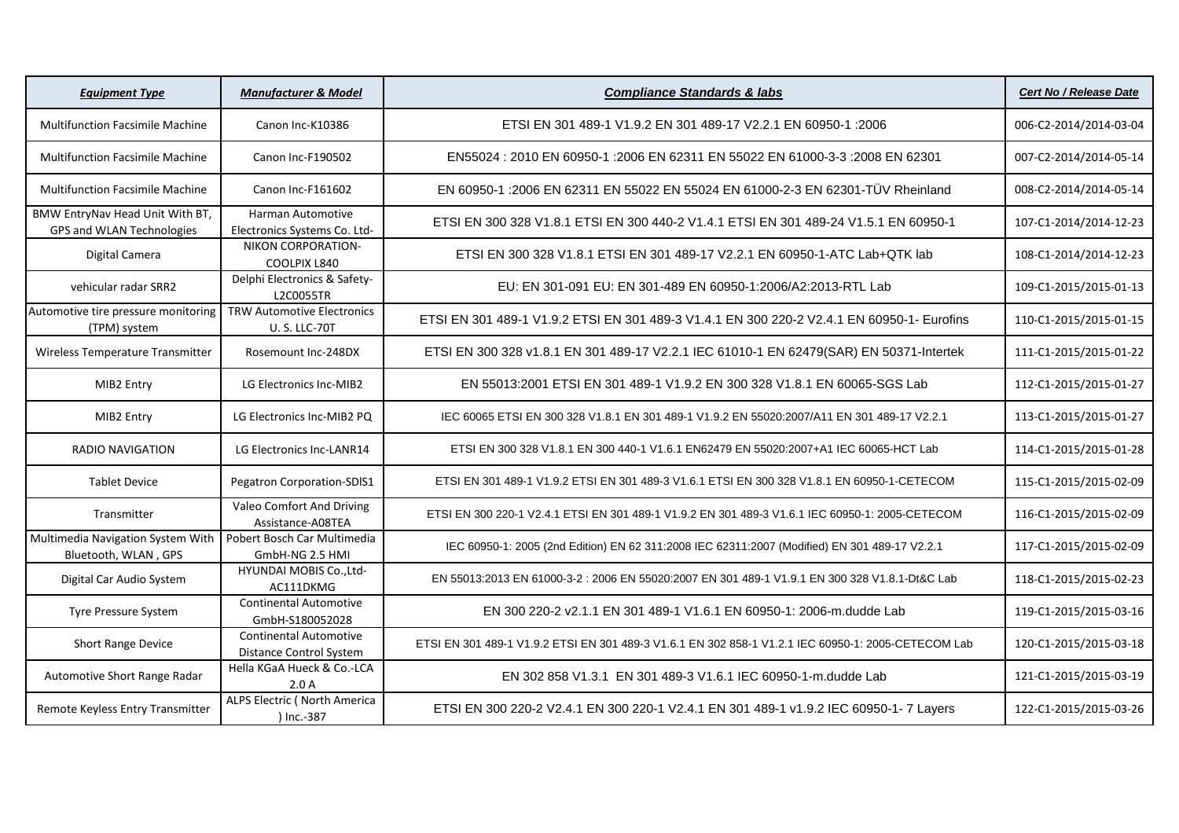| <b>Equipment Type</b>                                        | <b>Manufacturer &amp; Model</b>                          | <b>Compliance Standards &amp; labs</b>                                                              | <b>Cert No / Release Date</b> |
|--------------------------------------------------------------|----------------------------------------------------------|-----------------------------------------------------------------------------------------------------|-------------------------------|
| <b>Multifunction Facsimile Machine</b>                       | Canon Inc-K10386                                         | ETSI EN 301 489-1 V1.9.2 EN 301 489-17 V2.2.1 EN 60950-1 :2006                                      | 006-C2-2014/2014-03-04        |
| <b>Multifunction Facsimile Machine</b>                       | Canon Inc-F190502                                        | EN55024 : 2010 EN 60950-1 :2006 EN 62311 EN 55022 EN 61000-3-3 :2008 EN 62301                       | 007-C2-2014/2014-05-14        |
| <b>Multifunction Facsimile Machine</b>                       | Canon Inc-F161602                                        | EN 60950-1 :2006 EN 62311 EN 55022 EN 55024 EN 61000-2-3 EN 62301-TÜV Rheinland                     | 008-C2-2014/2014-05-14        |
| BMW EntryNav Head Unit With BT,<br>GPS and WLAN Technologies | Harman Automotive<br>Electronics Systems Co. Ltd-        | ETSI EN 300 328 V1.8.1 ETSI EN 300 440-2 V1.4.1 ETSI EN 301 489-24 V1.5.1 EN 60950-1                | 107-C1-2014/2014-12-23        |
| Digital Camera                                               | NIKON CORPORATION-<br>COOLPIX L840                       | ETSI EN 300 328 V1.8.1 ETSI EN 301 489-17 V2.2.1 EN 60950-1-ATC Lab+QTK lab                         | 108-C1-2014/2014-12-23        |
| vehicular radar SRR2                                         | Delphi Electronics & Safety-<br><b>L2C0055TR</b>         | EU: EN 301-091 EU: EN 301-489 EN 60950-1:2006/A2:2013-RTL Lab                                       | 109-C1-2015/2015-01-13        |
| Automotive tire pressure monitoring<br>(TPM) system          | <b>TRW Automotive Electronics</b><br><b>U.S. LLC-70T</b> | ETSI EN 301 489-1 V1.9.2 ETSI EN 301 489-3 V1.4.1 EN 300 220-2 V2.4.1 EN 60950-1- Eurofins          | 110-C1-2015/2015-01-15        |
| Wireless Temperature Transmitter                             | Rosemount Inc-248DX                                      | ETSI EN 300 328 v1.8.1 EN 301 489-17 V2.2.1 IEC 61010-1 EN 62479(SAR) EN 50371-Intertek             | 111-C1-2015/2015-01-22        |
| MIB2 Entry                                                   | LG Electronics Inc-MIB2                                  | EN 55013:2001 ETSI EN 301 489-1 V1.9.2 EN 300 328 V1.8.1 EN 60065-SGS Lab                           | 112-C1-2015/2015-01-27        |
| MIB2 Entry                                                   | LG Electronics Inc-MIB2 PQ                               | IEC 60065 ETSI EN 300 328 V1.8.1 EN 301 489-1 V1.9.2 EN 55020:2007/A11 EN 301 489-17 V2.2.1         | 113-C1-2015/2015-01-27        |
| <b>RADIO NAVIGATION</b>                                      | LG Electronics Inc-LANR14                                | ETSI EN 300 328 V1.8.1 EN 300 440-1 V1.6.1 EN62479 EN 55020:2007+A1 IEC 60065-HCT Lab               | 114-C1-2015/2015-01-28        |
| <b>Tablet Device</b>                                         | Pegatron Corporation-SDIS1                               | ETSI EN 301 489-1 V1.9.2 ETSI EN 301 489-3 V1.6.1 ETSI EN 300 328 V1.8.1 EN 60950-1-CETECOM         | 115-C1-2015/2015-02-09        |
| Transmitter                                                  | Valeo Comfort And Driving<br>Assistance-A08TEA           | ETSI EN 300 220-1 V2.4.1 ETSI EN 301 489-1 V1.9.2 EN 301 489-3 V1.6.1 IEC 60950-1: 2005-CETECOM     | 116-C1-2015/2015-02-09        |
| Multimedia Navigation System With<br>Bluetooth, WLAN, GPS    | Pobert Bosch Car Multimedia<br>GmbH-NG 2.5 HMI           | IEC 60950-1: 2005 (2nd Edition) EN 62 311:2008 IEC 62311:2007 (Modified) EN 301 489-17 V2.2.1       | 117-C1-2015/2015-02-09        |
| Digital Car Audio System                                     | HYUNDAI MOBIS Co., Ltd-<br>AC111DKMG                     | EN 55013:2013 EN 61000-3-2 : 2006 EN 55020:2007 EN 301 489-1 V1.9.1 EN 300 328 V1.8.1-Dt&C Lab      | 118-C1-2015/2015-02-23        |
| Tyre Pressure System                                         | <b>Continental Automotive</b><br>GmbH-S180052028         | EN 300 220-2 v2.1.1 EN 301 489-1 V1.6.1 EN 60950-1: 2006-m.dudde Lab                                | 119-C1-2015/2015-03-16        |
| <b>Short Range Device</b>                                    | <b>Continental Automotive</b><br>Distance Control System | ETSI EN 301 489-1 V1.9.2 ETSI EN 301 489-3 V1.6.1 EN 302 858-1 V1.2.1 IEC 60950-1: 2005-CETECOM Lab | 120-C1-2015/2015-03-18        |
| Automotive Short Range Radar                                 | Hella KGaA Hueck & Co.-LCA<br>2.0A                       | EN 302 858 V1.3.1 EN 301 489-3 V1.6.1 IEC 60950-1-m.dudde Lab                                       | 121-C1-2015/2015-03-19        |
| Remote Keyless Entry Transmitter                             | ALPS Electric ( North America<br>) Inc.-387              | ETSI EN 300 220-2 V2.4.1 EN 300 220-1 V2.4.1 EN 301 489-1 v1.9.2 IEC 60950-1-7 Layers               | 122-C1-2015/2015-03-26        |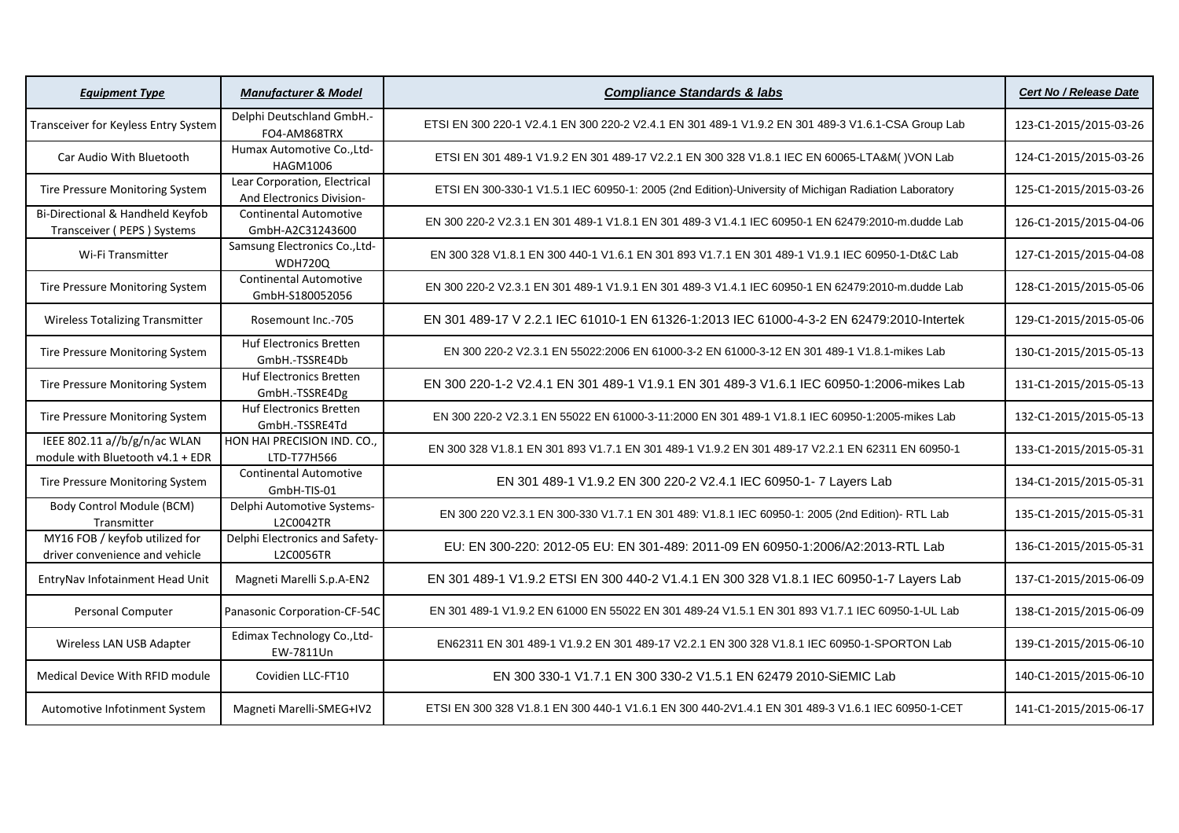| <b>Equipment Type</b>                                            | <b>Manufacturer &amp; Model</b>                           | <b>Compliance Standards &amp; labs</b>                                                               | Cert No / Release Date |
|------------------------------------------------------------------|-----------------------------------------------------------|------------------------------------------------------------------------------------------------------|------------------------|
| Transceiver for Keyless Entry System                             | Delphi Deutschland GmbH.-<br>FO4-AM868TRX                 | ETSI EN 300 220-1 V2.4.1 EN 300 220-2 V2.4.1 EN 301 489-1 V1.9.2 EN 301 489-3 V1.6.1-CSA Group Lab   | 123-C1-2015/2015-03-26 |
| Car Audio With Bluetooth                                         | Humax Automotive Co., Ltd-<br>HAGM1006                    | ETSI EN 301 489-1 V1.9.2 EN 301 489-17 V2.2.1 EN 300 328 V1.8.1 IEC EN 60065-LTA&M() VON Lab         | 124-C1-2015/2015-03-26 |
| Tire Pressure Monitoring System                                  | Lear Corporation, Electrical<br>And Electronics Division- | ETSI EN 300-330-1 V1.5.1 IEC 60950-1: 2005 (2nd Edition)-University of Michigan Radiation Laboratory | 125-C1-2015/2015-03-26 |
| Bi-Directional & Handheld Keyfob<br>Transceiver (PEPS) Systems   | <b>Continental Automotive</b><br>GmbH-A2C31243600         | EN 300 220-2 V2.3.1 EN 301 489-1 V1.8.1 EN 301 489-3 V1.4.1 IEC 60950-1 EN 62479:2010-m.dudde Lab    | 126-C1-2015/2015-04-06 |
| Wi-Fi Transmitter                                                | Samsung Electronics Co., Ltd-<br><b>WDH720Q</b>           | EN 300 328 V1.8.1 EN 300 440-1 V1.6.1 EN 301 893 V1.7.1 EN 301 489-1 V1.9.1 IEC 60950-1-Dt&C Lab     | 127-C1-2015/2015-04-08 |
| Tire Pressure Monitoring System                                  | <b>Continental Automotive</b><br>GmbH-S180052056          | EN 300 220-2 V2.3.1 EN 301 489-1 V1.9.1 EN 301 489-3 V1.4.1 IEC 60950-1 EN 62479:2010-m.dudde Lab    | 128-C1-2015/2015-05-06 |
| <b>Wireless Totalizing Transmitter</b>                           | Rosemount Inc.-705                                        | EN 301 489-17 V 2.2.1 IEC 61010-1 EN 61326-1:2013 IEC 61000-4-3-2 EN 62479:2010-Intertek             | 129-C1-2015/2015-05-06 |
| Tire Pressure Monitoring System                                  | <b>Huf Electronics Bretten</b><br>GmbH.-TSSRE4Db          | EN 300 220-2 V2.3.1 EN 55022:2006 EN 61000-3-2 EN 61000-3-12 EN 301 489-1 V1.8.1-mikes Lab           | 130-C1-2015/2015-05-13 |
| Tire Pressure Monitoring System                                  | <b>Huf Electronics Bretten</b><br>GmbH.-TSSRE4Dg          | EN 300 220-1-2 V2.4.1 EN 301 489-1 V1.9.1 EN 301 489-3 V1.6.1 IEC 60950-1:2006-mikes Lab             | 131-C1-2015/2015-05-13 |
| Tire Pressure Monitoring System                                  | Huf Electronics Bretten<br>GmbH.-TSSRE4Td                 | EN 300 220-2 V2.3.1 EN 55022 EN 61000-3-11:2000 EN 301 489-1 V1.8.1 IEC 60950-1:2005-mikes Lab       | 132-C1-2015/2015-05-13 |
| IEEE 802.11 a//b/g/n/ac WLAN<br>module with Bluetooth v4.1 + EDR | HON HAI PRECISION IND. CO.<br>LTD-T77H566                 | EN 300 328 V1.8.1 EN 301 893 V1.7.1 EN 301 489-1 V1.9.2 EN 301 489-17 V2.2.1 EN 62311 EN 60950-1     | 133-C1-2015/2015-05-31 |
| Tire Pressure Monitoring System                                  | <b>Continental Automotive</b><br>GmbH-TIS-01              | EN 301 489-1 V1.9.2 EN 300 220-2 V2.4.1 IEC 60950-1- 7 Layers Lab                                    | 134-C1-2015/2015-05-31 |
| Body Control Module (BCM)<br>Transmitter                         | Delphi Automotive Systems-<br>L2C0042TR                   | EN 300 220 V2.3.1 EN 300-330 V1.7.1 EN 301 489: V1.8.1 IEC 60950-1: 2005 (2nd Edition)- RTL Lab      | 135-C1-2015/2015-05-31 |
| MY16 FOB / keyfob utilized for<br>driver convenience and vehicle | Delphi Electronics and Safety-<br>L2C0056TR               | EU: EN 300-220: 2012-05 EU: EN 301-489: 2011-09 EN 60950-1:2006/A2:2013-RTL Lab                      | 136-C1-2015/2015-05-31 |
| EntryNav Infotainment Head Unit                                  | Magneti Marelli S.p.A-EN2                                 | EN 301 489-1 V1.9.2 ETSI EN 300 440-2 V1.4.1 EN 300 328 V1.8.1 IEC 60950-1-7 Layers Lab              | 137-C1-2015/2015-06-09 |
| Personal Computer                                                | Panasonic Corporation-CF-54C                              | EN 301 489-1 V1.9.2 EN 61000 EN 55022 EN 301 489-24 V1.5.1 EN 301 893 V1.7.1 IEC 60950-1-UL Lab      | 138-C1-2015/2015-06-09 |
| Wireless LAN USB Adapter                                         | Edimax Technology Co., Ltd-<br>EW-7811Un                  | EN62311 EN 301 489-1 V1.9.2 EN 301 489-17 V2.2.1 EN 300 328 V1.8.1 IEC 60950-1-SPORTON Lab           | 139-C1-2015/2015-06-10 |
| Medical Device With RFID module                                  | Covidien LLC-FT10                                         | EN 300 330-1 V1.7.1 EN 300 330-2 V1.5.1 EN 62479 2010-SIEMIC Lab                                     | 140-C1-2015/2015-06-10 |
| Automotive Infotinment System                                    | Magneti Marelli-SMEG+IV2                                  | ETSI EN 300 328 V1.8.1 EN 300 440-1 V1.6.1 EN 300 440-2V1.4.1 EN 301 489-3 V1.6.1 IEC 60950-1-CET    | 141-C1-2015/2015-06-17 |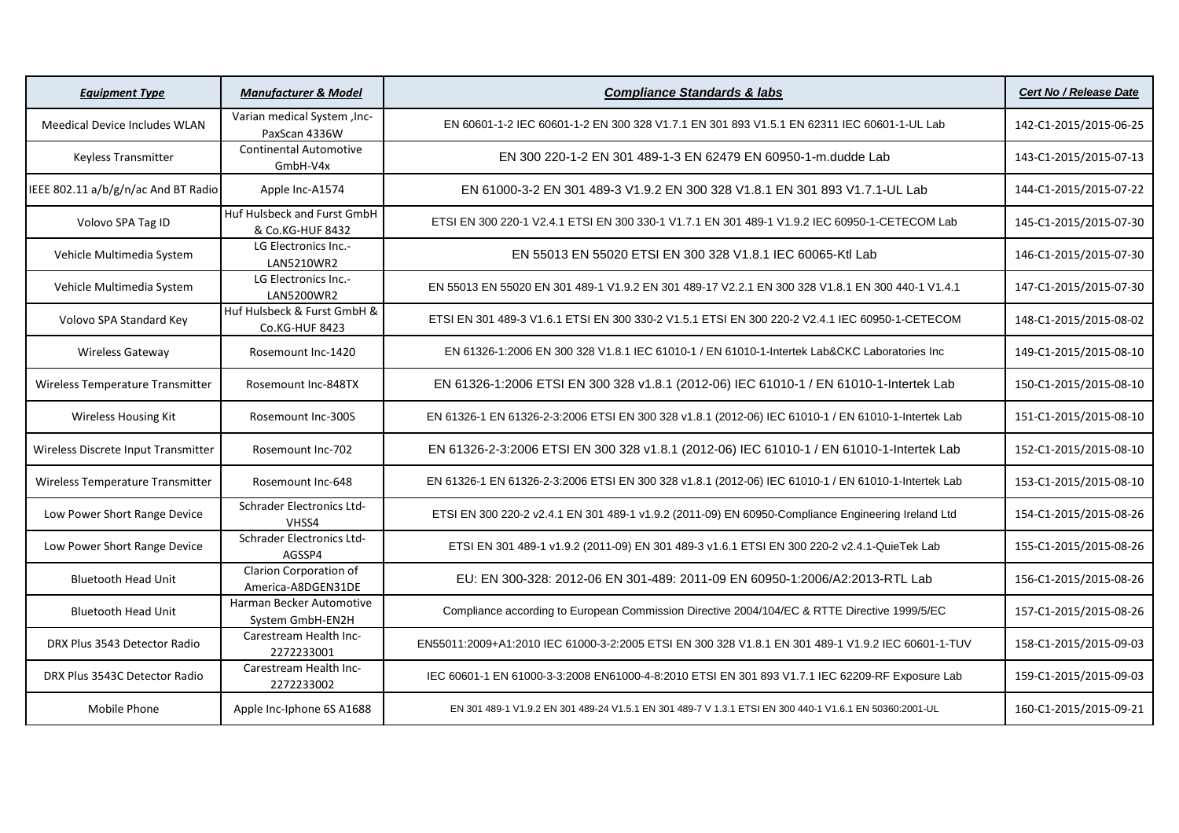| <b>Equipment Type</b>                | <b>Manufacturer &amp; Model</b>                 | <b>Compliance Standards &amp; labs</b>                                                                  | <b>Cert No / Release Date</b> |
|--------------------------------------|-------------------------------------------------|---------------------------------------------------------------------------------------------------------|-------------------------------|
| <b>Meedical Device Includes WLAN</b> | Varian medical System, Inc-<br>PaxScan 4336W    | EN 60601-1-2 IEC 60601-1-2 EN 300 328 V1.7.1 EN 301 893 V1.5.1 EN 62311 IEC 60601-1-UL Lab              | 142-C1-2015/2015-06-25        |
| <b>Keyless Transmitter</b>           | <b>Continental Automotive</b><br>GmbH-V4x       | EN 300 220-1-2 EN 301 489-1-3 EN 62479 EN 60950-1-m.dudde Lab                                           | 143-C1-2015/2015-07-13        |
| IEEE 802.11 a/b/g/n/ac And BT Radio  | Apple Inc-A1574                                 | EN 61000-3-2 EN 301 489-3 V1.9.2 EN 300 328 V1.8.1 EN 301 893 V1.7.1-UL Lab                             | 144-C1-2015/2015-07-22        |
| Volovo SPA Tag ID                    | Huf Hulsbeck and Furst GmbH<br>& Co.KG-HUF 8432 | ETSI EN 300 220-1 V2.4.1 ETSI EN 300 330-1 V1.7.1 EN 301 489-1 V1.9.2 IEC 60950-1-CETECOM Lab           | 145-C1-2015/2015-07-30        |
| Vehicle Multimedia System            | LG Electronics Inc.-<br>LAN5210WR2              | EN 55013 EN 55020 ETSI EN 300 328 V1.8.1 IEC 60065-Ktl Lab                                              | 146-C1-2015/2015-07-30        |
| Vehicle Multimedia System            | LG Electronics Inc.-<br>LAN5200WR2              | EN 55013 EN 55020 EN 301 489-1 V1.9.2 EN 301 489-17 V2.2.1 EN 300 328 V1.8.1 EN 300 440-1 V1.4.1        | 147-C1-2015/2015-07-30        |
| Volovo SPA Standard Key              | Huf Hulsbeck & Furst GmbH &<br>Co.KG-HUF 8423   | ETSI EN 301 489-3 V1.6.1 ETSI EN 300 330-2 V1.5.1 ETSI EN 300 220-2 V2.4.1 IEC 60950-1-CETECOM          | 148-C1-2015/2015-08-02        |
| <b>Wireless Gateway</b>              | Rosemount Inc-1420                              | EN 61326-1:2006 EN 300 328 V1.8.1 IEC 61010-1 / EN 61010-1-Intertek Lab&CKC Laboratories Inc            | 149-C1-2015/2015-08-10        |
| Wireless Temperature Transmitter     | Rosemount Inc-848TX                             | EN 61326-1:2006 ETSI EN 300 328 v1.8.1 (2012-06) IEC 61010-1 / EN 61010-1-Intertek Lab                  | 150-C1-2015/2015-08-10        |
| <b>Wireless Housing Kit</b>          | Rosemount Inc-300S                              | EN 61326-1 EN 61326-2-3:2006 ETSI EN 300 328 v1.8.1 (2012-06) IEC 61010-1 / EN 61010-1-Intertek Lab     | 151-C1-2015/2015-08-10        |
| Wireless Discrete Input Transmitter  | Rosemount Inc-702                               | EN 61326-2-3:2006 ETSI EN 300 328 v1.8.1 (2012-06) IEC 61010-1 / EN 61010-1-Intertek Lab                | 152-C1-2015/2015-08-10        |
| Wireless Temperature Transmitter     | Rosemount Inc-648                               | EN 61326-1 EN 61326-2-3:2006 ETSI EN 300 328 v1.8.1 (2012-06) IEC 61010-1 / EN 61010-1-Intertek Lab     | 153-C1-2015/2015-08-10        |
| Low Power Short Range Device         | Schrader Electronics Ltd-<br>VHSS4              | ETSI EN 300 220-2 v2.4.1 EN 301 489-1 v1.9.2 (2011-09) EN 60950-Compliance Engineering Ireland Ltd      | 154-C1-2015/2015-08-26        |
| Low Power Short Range Device         | Schrader Electronics Ltd-<br>AGSSP4             | ETSI EN 301 489-1 v1.9.2 (2011-09) EN 301 489-3 v1.6.1 ETSI EN 300 220-2 v2.4.1-QuieTek Lab             | 155-C1-2015/2015-08-26        |
| <b>Bluetooth Head Unit</b>           | Clarion Corporation of<br>America-A8DGEN31DE    | EU: EN 300-328: 2012-06 EN 301-489: 2011-09 EN 60950-1:2006/A2:2013-RTL Lab                             | 156-C1-2015/2015-08-26        |
| <b>Bluetooth Head Unit</b>           | Harman Becker Automotive<br>System GmbH-EN2H    | Compliance according to European Commission Directive 2004/104/EC & RTTE Directive 1999/5/EC            | 157-C1-2015/2015-08-26        |
| DRX Plus 3543 Detector Radio         | Carestream Health Inc-<br>2272233001            | EN55011:2009+A1:2010 IEC 61000-3-2:2005 ETSI EN 300 328 V1.8.1 EN 301 489-1 V1.9.2 IEC 60601-1-TUV      | 158-C1-2015/2015-09-03        |
| DRX Plus 3543C Detector Radio        | Carestream Health Inc-<br>2272233002            | IEC 60601-1 EN 61000-3-3:2008 EN61000-4-8:2010 ETSI EN 301 893 V1.7.1 IEC 62209-RF Exposure Lab         | 159-C1-2015/2015-09-03        |
| Mobile Phone                         | Apple Inc-Iphone 6S A1688                       | EN 301 489-1 V1.9.2 EN 301 489-24 V1.5.1 EN 301 489-7 V 1.3.1 ETSI EN 300 440-1 V1.6.1 EN 50360:2001-UL | 160-C1-2015/2015-09-21        |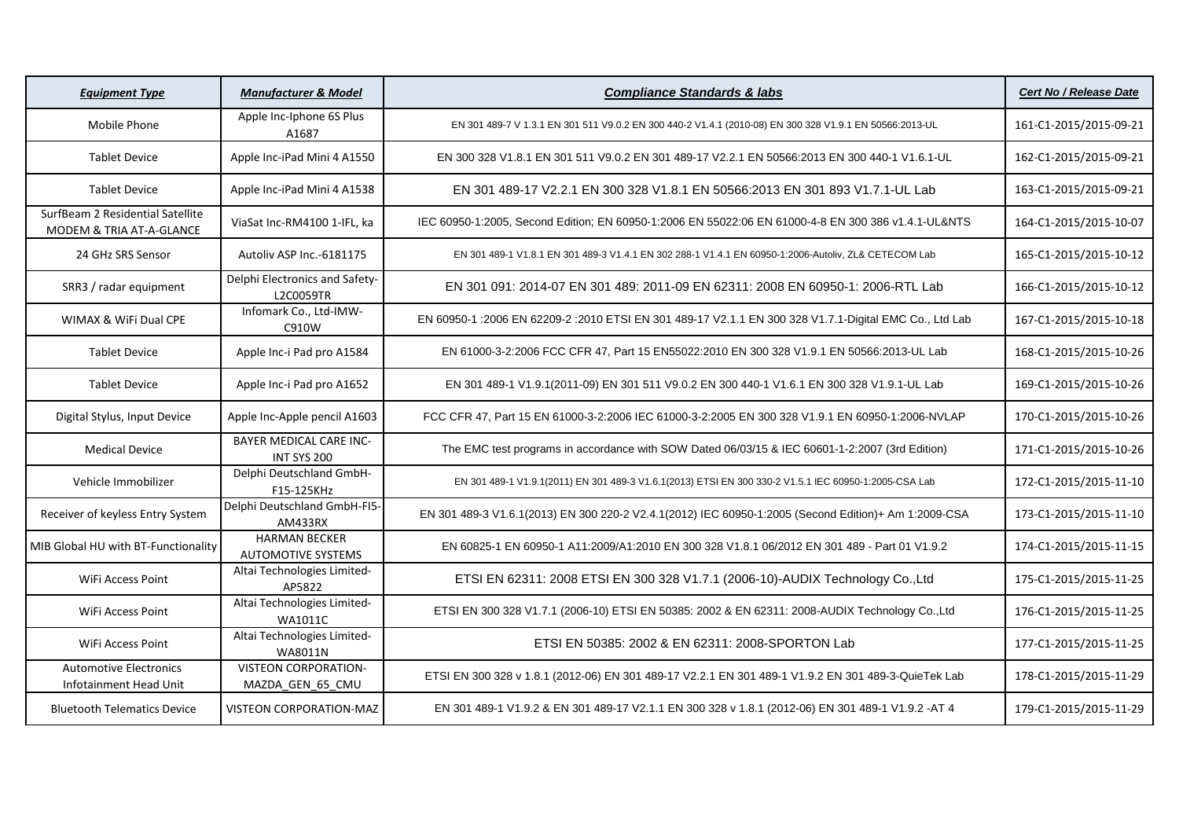| <b>Equipment Type</b>                                        | <b>Manufacturer &amp; Model</b>                   | <b>Compliance Standards &amp; labs</b>                                                                  | <b>Cert No / Release Date</b> |
|--------------------------------------------------------------|---------------------------------------------------|---------------------------------------------------------------------------------------------------------|-------------------------------|
| Mobile Phone                                                 | Apple Inc-Iphone 6S Plus<br>A1687                 | EN 301 489-7 V 1.3.1 EN 301 511 V9.0.2 EN 300 440-2 V1.4.1 (2010-08) EN 300 328 V1.9.1 EN 50566:2013-UL | 161-C1-2015/2015-09-21        |
| <b>Tablet Device</b>                                         | Apple Inc-iPad Mini 4 A1550                       | EN 300 328 V1.8.1 EN 301 511 V9.0.2 EN 301 489-17 V2.2.1 EN 50566:2013 EN 300 440-1 V1.6.1-UL           | 162-C1-2015/2015-09-21        |
| <b>Tablet Device</b>                                         | Apple Inc-iPad Mini 4 A1538                       | EN 301 489-17 V2.2.1 EN 300 328 V1.8.1 EN 50566:2013 EN 301 893 V1.7.1-UL Lab                           | 163-C1-2015/2015-09-21        |
| SurfBeam 2 Residential Satellite<br>MODEM & TRIA AT-A-GLANCE | ViaSat Inc-RM4100 1-IFL, ka                       | IEC 60950-1:2005, Second Edition; EN 60950-1:2006 EN 55022:06 EN 61000-4-8 EN 300 386 v1.4.1-UL&NTS     | 164-C1-2015/2015-10-07        |
| 24 GHz SRS Sensor                                            | Autoliv ASP Inc.-6181175                          | EN 301 489-1 V1.8.1 EN 301 489-3 V1.4.1 EN 302 288-1 V1.4.1 EN 60950-1:2006-Autoliv, ZL& CETECOM Lab    | 165-C1-2015/2015-10-12        |
| SRR3 / radar equipment                                       | Delphi Electronics and Safety-<br>L2C0059TR       | EN 301 091: 2014-07 EN 301 489: 2011-09 EN 62311: 2008 EN 60950-1: 2006-RTL Lab                         | 166-C1-2015/2015-10-12        |
| WIMAX & WiFi Dual CPE                                        | Infomark Co., Ltd-IMW-<br>C910W                   | EN 60950-1 :2006 EN 62209-2 :2010 ETSI EN 301 489-17 V2.1.1 EN 300 328 V1.7.1-Digital EMC Co., Ltd Lab  | 167-C1-2015/2015-10-18        |
| <b>Tablet Device</b>                                         | Apple Inc-i Pad pro A1584                         | EN 61000-3-2:2006 FCC CFR 47, Part 15 EN55022:2010 EN 300 328 V1.9.1 EN 50566:2013-UL Lab               | 168-C1-2015/2015-10-26        |
| <b>Tablet Device</b>                                         | Apple Inc-i Pad pro A1652                         | EN 301 489-1 V1.9.1(2011-09) EN 301 511 V9.0.2 EN 300 440-1 V1.6.1 EN 300 328 V1.9.1-UL Lab             | 169-C1-2015/2015-10-26        |
| Digital Stylus, Input Device                                 | Apple Inc-Apple pencil A1603                      | FCC CFR 47, Part 15 EN 61000-3-2:2006 IEC 61000-3-2:2005 EN 300 328 V1.9.1 EN 60950-1:2006-NVLAP        | 170-C1-2015/2015-10-26        |
| <b>Medical Device</b>                                        | BAYER MEDICAL CARE INC-<br>INT SYS 200            | The EMC test programs in accordance with SOW Dated 06/03/15 & IEC 60601-1-2:2007 (3rd Edition)          | 171-C1-2015/2015-10-26        |
| Vehicle Immobilizer                                          | Delphi Deutschland GmbH-<br>F15-125KHz            | EN 301 489-1 V1.9.1(2011) EN 301 489-3 V1.6.1(2013) ETSI EN 300 330-2 V1.5.1 IEC 60950-1:2005-CSA Lab   | 172-C1-2015/2015-11-10        |
| Receiver of keyless Entry System                             | Delphi Deutschland GmbH-FI5-<br>AM433RX           | EN 301 489-3 V1.6.1(2013) EN 300 220-2 V2.4.1(2012) IEC 60950-1:2005 (Second Edition)+ Am 1:2009-CSA    | 173-C1-2015/2015-11-10        |
| MIB Global HU with BT-Functionality                          | <b>HARMAN BECKER</b><br><b>AUTOMOTIVE SYSTEMS</b> | EN 60825-1 EN 60950-1 A11:2009/A1:2010 EN 300 328 V1.8.1 06/2012 EN 301 489 - Part 01 V1.9.2            | 174-C1-2015/2015-11-15        |
| WiFi Access Point                                            | Altai Technologies Limited-<br>AP5822             | ETSI EN 62311: 2008 ETSI EN 300 328 V1.7.1 (2006-10)-AUDIX Technology Co.,Ltd                           | 175-C1-2015/2015-11-25        |
| WiFi Access Point                                            | Altai Technologies Limited-<br><b>WA1011C</b>     | ETSI EN 300 328 V1.7.1 (2006-10) ETSI EN 50385: 2002 & EN 62311: 2008-AUDIX Technology Co., Ltd         | 176-C1-2015/2015-11-25        |
| WiFi Access Point                                            | Altai Technologies Limited-<br>WA8011N            | ETSI EN 50385: 2002 & EN 62311: 2008-SPORTON Lab                                                        | 177-C1-2015/2015-11-25        |
| <b>Automotive Electronics</b><br>Infotainment Head Unit      | <b>VISTEON CORPORATION-</b><br>MAZDA_GEN_65_CMU   | ETSI EN 300 328 v 1.8.1 (2012-06) EN 301 489-17 V2.2.1 EN 301 489-1 V1.9.2 EN 301 489-3-QuieTek Lab     | 178-C1-2015/2015-11-29        |
| <b>Bluetooth Telematics Device</b>                           | <b>VISTEON CORPORATION-MAZ</b>                    | EN 301 489-1 V1.9.2 & EN 301 489-17 V2.1.1 EN 300 328 v 1.8.1 (2012-06) EN 301 489-1 V1.9.2 -AT 4       | 179-C1-2015/2015-11-29        |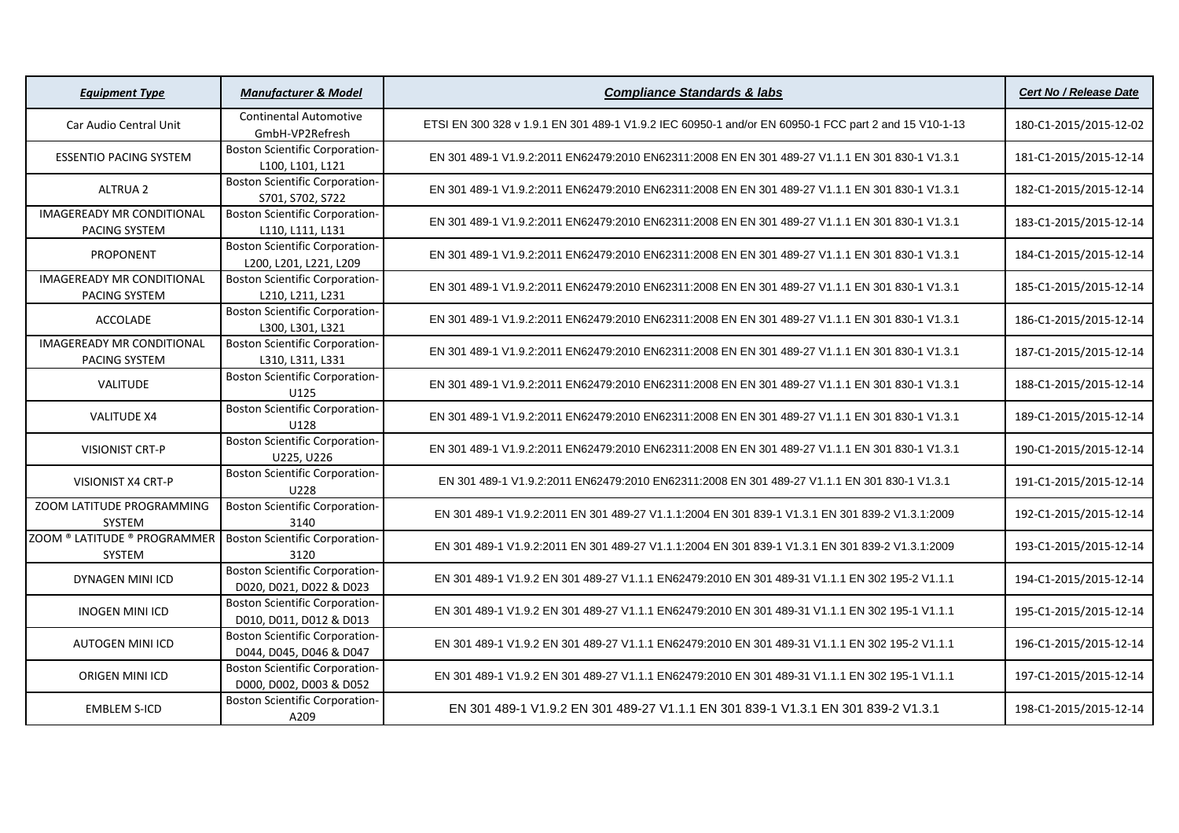| <b>Equipment Type</b>                             | <b>Manufacturer &amp; Model</b>                                  | <b>Compliance Standards &amp; labs</b>                                                               | <b>Cert No / Release Date</b> |
|---------------------------------------------------|------------------------------------------------------------------|------------------------------------------------------------------------------------------------------|-------------------------------|
| Car Audio Central Unit                            | <b>Continental Automotive</b><br>GmbH-VP2Refresh                 | ETSI EN 300 328 v 1.9.1 EN 301 489-1 V1.9.2 IEC 60950-1 and/or EN 60950-1 FCC part 2 and 15 V10-1-13 | 180-C1-2015/2015-12-02        |
| <b>ESSENTIO PACING SYSTEM</b>                     | <b>Boston Scientific Corporation-</b><br>L100, L101, L121        | EN 301 489-1 V1.9.2:2011 EN62479:2010 EN62311:2008 EN EN 301 489-27 V1.1.1 EN 301 830-1 V1.3.1       | 181-C1-2015/2015-12-14        |
| <b>ALTRUA 2</b>                                   | <b>Boston Scientific Corporation-</b><br>S701, S702, S722        | EN 301 489-1 V1.9.2:2011 EN62479:2010 EN62311:2008 EN EN 301 489-27 V1.1.1 EN 301 830-1 V1.3.1       | 182-C1-2015/2015-12-14        |
| <b>IMAGEREADY MR CONDITIONAL</b><br>PACING SYSTEM | <b>Boston Scientific Corporation-</b><br>L110, L111, L131        | EN 301 489-1 V1.9.2:2011 EN62479:2010 EN62311:2008 EN EN 301 489-27 V1.1.1 EN 301 830-1 V1.3.1       | 183-C1-2015/2015-12-14        |
| PROPONENT                                         | <b>Boston Scientific Corporation-</b><br>L200, L201, L221, L209  | EN 301 489-1 V1.9.2:2011 EN62479:2010 EN62311:2008 EN EN 301 489-27 V1.1.1 EN 301 830-1 V1.3.1       | 184-C1-2015/2015-12-14        |
| <b>IMAGEREADY MR CONDITIONAL</b><br>PACING SYSTEM | <b>Boston Scientific Corporation-</b><br>L210, L211, L231        | EN 301 489-1 V1.9.2:2011 EN62479:2010 EN62311:2008 EN EN 301 489-27 V1.1.1 EN 301 830-1 V1.3.1       | 185-C1-2015/2015-12-14        |
| ACCOLADE                                          | <b>Boston Scientific Corporation-</b><br>L300, L301, L321        | EN 301 489-1 V1.9.2:2011 EN62479:2010 EN62311:2008 EN EN 301 489-27 V1.1.1 EN 301 830-1 V1.3.1       | 186-C1-2015/2015-12-14        |
| <b>IMAGEREADY MR CONDITIONAL</b><br>PACING SYSTEM | <b>Boston Scientific Corporation-</b><br>L310, L311, L331        | EN 301 489-1 V1.9.2:2011 EN62479:2010 EN62311:2008 EN EN 301 489-27 V1.1.1 EN 301 830-1 V1.3.1       | 187-C1-2015/2015-12-14        |
| <b>VALITUDE</b>                                   | <b>Boston Scientific Corporation-</b><br>U125                    | EN 301 489-1 V1.9.2:2011 EN62479:2010 EN62311:2008 EN EN 301 489-27 V1.1.1 EN 301 830-1 V1.3.1       | 188-C1-2015/2015-12-14        |
| <b>VALITUDE X4</b>                                | <b>Boston Scientific Corporation-</b><br>U128                    | EN 301 489-1 V1.9.2:2011 EN62479:2010 EN62311:2008 EN EN 301 489-27 V1.1.1 EN 301 830-1 V1.3.1       | 189-C1-2015/2015-12-14        |
| <b>VISIONIST CRT-P</b>                            | <b>Boston Scientific Corporation-</b><br>U225, U226              | EN 301 489-1 V1.9.2:2011 EN62479:2010 EN62311:2008 EN EN 301 489-27 V1.1.1 EN 301 830-1 V1.3.1       | 190-C1-2015/2015-12-14        |
| VISIONIST X4 CRT-P                                | <b>Boston Scientific Corporation-</b><br>U228                    | EN 301 489-1 V1.9.2:2011 EN62479:2010 EN62311:2008 EN 301 489-27 V1.1.1 EN 301 830-1 V1.3.1          | 191-C1-2015/2015-12-14        |
| ZOOM LATITUDE PROGRAMMING<br>SYSTEM               | <b>Boston Scientific Corporation-</b><br>3140                    | EN 301 489-1 V1.9.2:2011 EN 301 489-27 V1.1.1:2004 EN 301 839-1 V1.3.1 EN 301 839-2 V1.3.1:2009      | 192-C1-2015/2015-12-14        |
| ZOOM ® LATITUDE ® PROGRAMMER<br>SYSTEM            | <b>Boston Scientific Corporation-</b><br>3120                    | EN 301 489-1 V1.9.2:2011 EN 301 489-27 V1.1.1:2004 EN 301 839-1 V1.3.1 EN 301 839-2 V1.3.1:2009      | 193-C1-2015/2015-12-14        |
| DYNAGEN MINI ICD                                  | <b>Boston Scientific Corporation-</b><br>D020, D021, D022 & D023 | EN 301 489-1 V1.9.2 EN 301 489-27 V1.1.1 EN62479:2010 EN 301 489-31 V1.1.1 EN 302 195-2 V1.1.1       | 194-C1-2015/2015-12-14        |
| <b>INOGEN MINI ICD</b>                            | <b>Boston Scientific Corporation-</b><br>D010, D011, D012 & D013 | EN 301 489-1 V1.9.2 EN 301 489-27 V1.1.1 EN62479:2010 EN 301 489-31 V1.1.1 EN 302 195-1 V1.1.1       | 195-C1-2015/2015-12-14        |
| <b>AUTOGEN MINI ICD</b>                           | <b>Boston Scientific Corporation-</b><br>D044, D045, D046 & D047 | EN 301 489-1 V1.9.2 EN 301 489-27 V1.1.1 EN62479:2010 EN 301 489-31 V1.1.1 EN 302 195-2 V1.1.1       | 196-C1-2015/2015-12-14        |
| <b>ORIGEN MINI ICD</b>                            | <b>Boston Scientific Corporation-</b><br>D000, D002, D003 & D052 | EN 301 489-1 V1.9.2 EN 301 489-27 V1.1.1 EN62479:2010 EN 301 489-31 V1.1.1 EN 302 195-1 V1.1.1       | 197-C1-2015/2015-12-14        |
| <b>EMBLEM S-ICD</b>                               | <b>Boston Scientific Corporation-</b><br>A209                    | EN 301 489-1 V1.9.2 EN 301 489-27 V1.1.1 EN 301 839-1 V1.3.1 EN 301 839-2 V1.3.1                     | 198-C1-2015/2015-12-14        |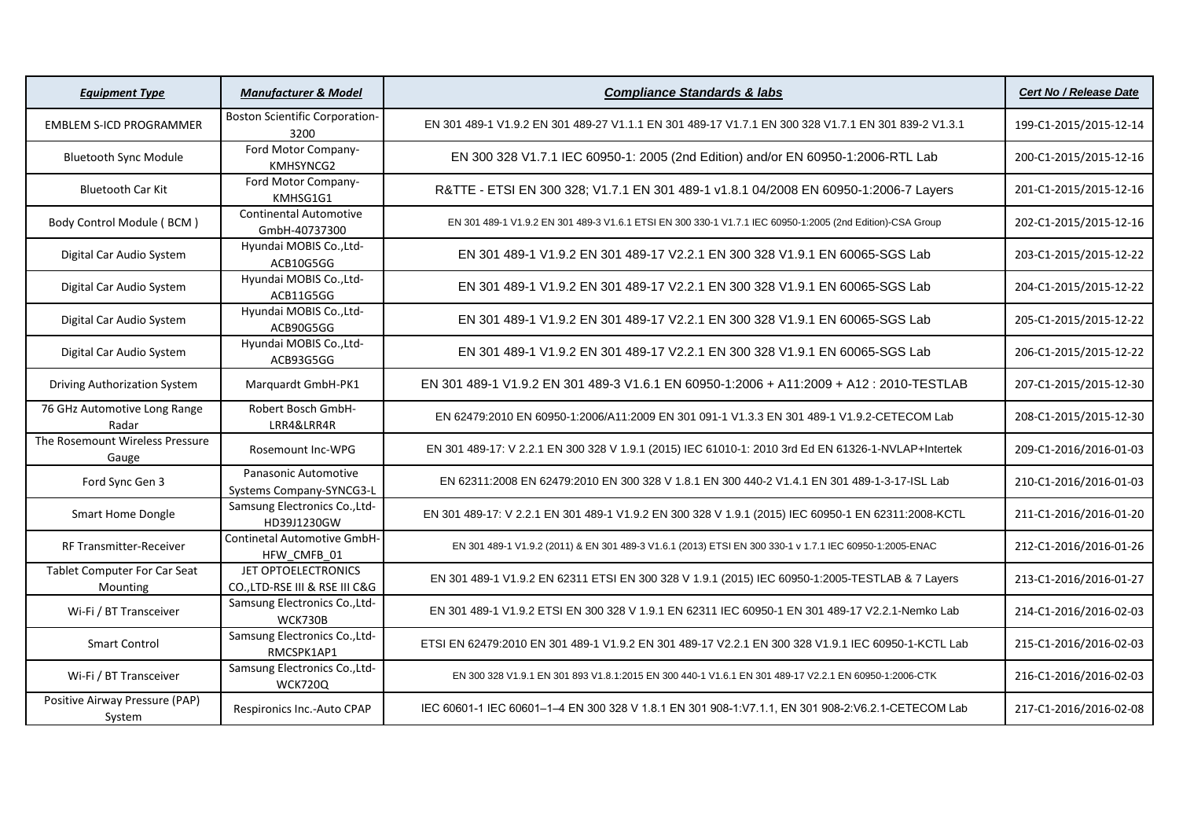| <b>Equipment Type</b>                    | <b>Manufacturer &amp; Model</b>                       | <b>Compliance Standards &amp; labs</b>                                                                    | Cert No / Release Date |
|------------------------------------------|-------------------------------------------------------|-----------------------------------------------------------------------------------------------------------|------------------------|
| <b>EMBLEM S-ICD PROGRAMMER</b>           | <b>Boston Scientific Corporation-</b><br>3200         | EN 301 489-1 V1.9.2 EN 301 489-27 V1.1.1 EN 301 489-17 V1.7.1 EN 300 328 V1.7.1 EN 301 839-2 V1.3.1       | 199-C1-2015/2015-12-14 |
| <b>Bluetooth Sync Module</b>             | Ford Motor Company-<br>KMHSYNCG2                      | EN 300 328 V1.7.1 IEC 60950-1: 2005 (2nd Edition) and/or EN 60950-1:2006-RTL Lab                          | 200-C1-2015/2015-12-16 |
| <b>Bluetooth Car Kit</b>                 | Ford Motor Company-<br>KMHSG1G1                       | R&TTE - ETSI EN 300 328; V1.7.1 EN 301 489-1 v1.8.1 04/2008 EN 60950-1:2006-7 Layers                      | 201-C1-2015/2015-12-16 |
| Body Control Module (BCM)                | <b>Continental Automotive</b><br>GmbH-40737300        | EN 301 489-1 V1.9.2 EN 301 489-3 V1.6.1 ETSI EN 300 330-1 V1.7.1 IEC 60950-1:2005 (2nd Edition)-CSA Group | 202-C1-2015/2015-12-16 |
| Digital Car Audio System                 | Hyundai MOBIS Co., Ltd-<br>ACB10G5GG                  | EN 301 489-1 V1.9.2 EN 301 489-17 V2.2.1 EN 300 328 V1.9.1 EN 60065-SGS Lab                               | 203-C1-2015/2015-12-22 |
| Digital Car Audio System                 | Hyundai MOBIS Co., Ltd-<br>ACB11G5GG                  | EN 301 489-1 V1.9.2 EN 301 489-17 V2.2.1 EN 300 328 V1.9.1 EN 60065-SGS Lab                               | 204-C1-2015/2015-12-22 |
| Digital Car Audio System                 | Hyundai MOBIS Co., Ltd-<br>ACB90G5GG                  | EN 301 489-1 V1.9.2 EN 301 489-17 V2.2.1 EN 300 328 V1.9.1 EN 60065-SGS Lab                               | 205-C1-2015/2015-12-22 |
| Digital Car Audio System                 | Hyundai MOBIS Co., Ltd-<br>ACB93G5GG                  | EN 301 489-1 V1.9.2 EN 301 489-17 V2.2.1 EN 300 328 V1.9.1 EN 60065-SGS Lab                               | 206-C1-2015/2015-12-22 |
| Driving Authorization System             | Marquardt GmbH-PK1                                    | EN 301 489-1 V1.9.2 EN 301 489-3 V1.6.1 EN 60950-1:2006 + A11:2009 + A12: 2010-TESTLAB                    | 207-C1-2015/2015-12-30 |
| 76 GHz Automotive Long Range<br>Radar    | Robert Bosch GmbH-<br>LRR4&LRR4R                      | EN 62479:2010 EN 60950-1:2006/A11:2009 EN 301 091-1 V1.3.3 EN 301 489-1 V1.9.2-CETECOM Lab                | 208-C1-2015/2015-12-30 |
| The Rosemount Wireless Pressure<br>Gauge | Rosemount Inc-WPG                                     | EN 301 489-17: V 2.2.1 EN 300 328 V 1.9.1 (2015) IEC 61010-1: 2010 3rd Ed EN 61326-1-NVLAP+Intertek       | 209-C1-2016/2016-01-03 |
| Ford Sync Gen 3                          | Panasonic Automotive<br>Systems Company-SYNCG3-L      | EN 62311:2008 EN 62479:2010 EN 300 328 V 1.8.1 EN 300 440-2 V1.4.1 EN 301 489-1-3-17-ISL Lab              | 210-C1-2016/2016-01-03 |
| Smart Home Dongle                        | Samsung Electronics Co., Ltd-<br>HD39J1230GW          | EN 301 489-17: V 2.2.1 EN 301 489-1 V1.9.2 EN 300 328 V 1.9.1 (2015) IEC 60950-1 EN 62311:2008-KCTL       | 211-C1-2016/2016-01-20 |
| RF Transmitter-Receiver                  | Continetal Automotive GmbH-<br>HFW CMFB 01            | EN 301 489-1 V1.9.2 (2011) & EN 301 489-3 V1.6.1 (2013) ETSI EN 300 330-1 v 1.7.1 IEC 60950-1:2005-ENAC   | 212-C1-2016/2016-01-26 |
| Tablet Computer For Car Seat<br>Mounting | JET OPTOELECTRONICS<br>CO., LTD-RSE III & RSE III C&G | EN 301 489-1 V1.9.2 EN 62311 ETSI EN 300 328 V 1.9.1 (2015) IEC 60950-1:2005-TESTLAB & 7 Layers           | 213-C1-2016/2016-01-27 |
| Wi-Fi / BT Transceiver                   | Samsung Electronics Co., Ltd-<br>WCK730B              | EN 301 489-1 V1.9.2 ETSI EN 300 328 V 1.9.1 EN 62311 IEC 60950-1 EN 301 489-17 V2.2.1-Nemko Lab           | 214-C1-2016/2016-02-03 |
| <b>Smart Control</b>                     | Samsung Electronics Co., Ltd-<br>RMCSPK1AP1           | ETSI EN 62479:2010 EN 301 489-1 V1.9.2 EN 301 489-17 V2.2.1 EN 300 328 V1.9.1 IEC 60950-1-KCTL Lab        | 215-C1-2016/2016-02-03 |
| Wi-Fi / BT Transceiver                   | Samsung Electronics Co., Ltd-<br><b>WCK720Q</b>       | EN 300 328 V1.9.1 EN 301 893 V1.8.1:2015 EN 300 440-1 V1.6.1 EN 301 489-17 V2.2.1 EN 60950-1:2006-CTK     | 216-C1-2016/2016-02-03 |
| Positive Airway Pressure (PAP)<br>System | Respironics Inc.-Auto CPAP                            | IEC 60601-1 IEC 60601-1-4 EN 300 328 V 1.8.1 EN 301 908-1:V7.1.1, EN 301 908-2:V6.2.1-CETECOM Lab         | 217-C1-2016/2016-02-08 |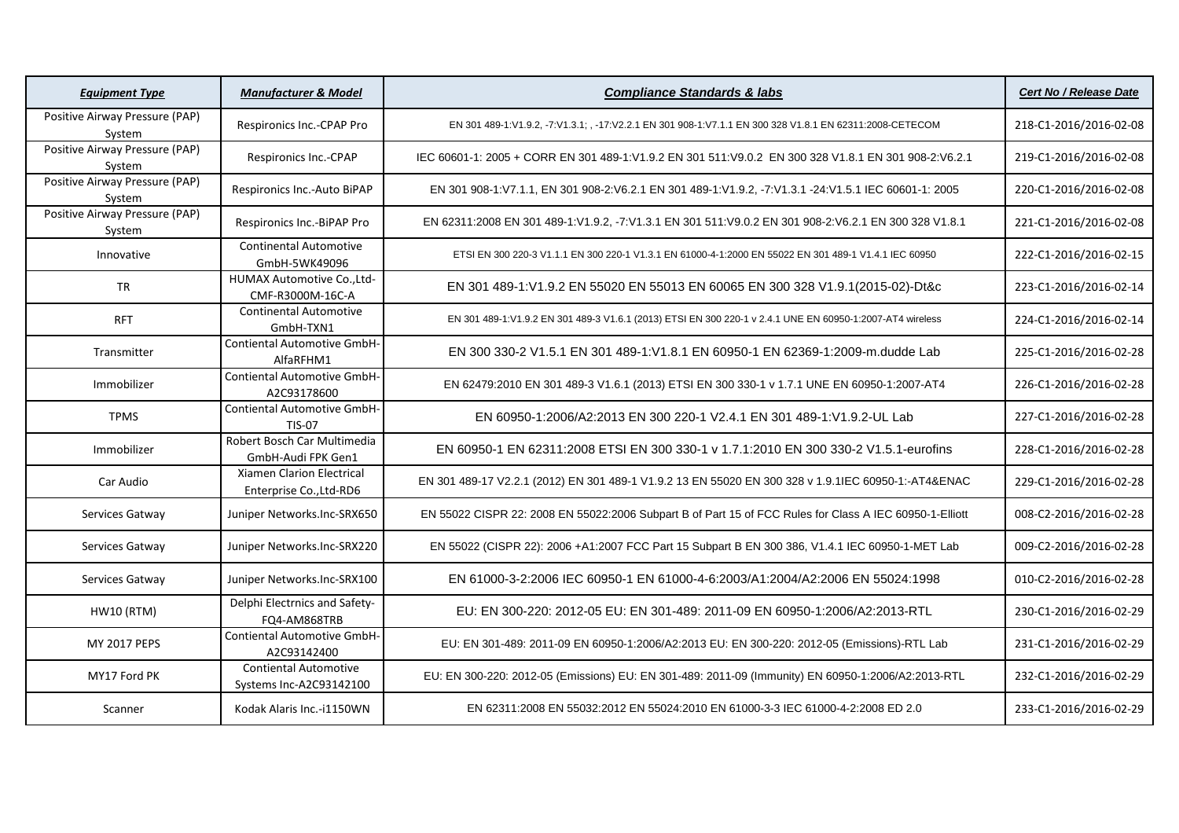| <b>Equipment Type</b>                    | <b>Manufacturer &amp; Model</b>                             | <b>Compliance Standards &amp; labs</b>                                                                    | <b>Cert No / Release Date</b> |
|------------------------------------------|-------------------------------------------------------------|-----------------------------------------------------------------------------------------------------------|-------------------------------|
| Positive Airway Pressure (PAP)<br>System | Respironics Inc.-CPAP Pro                                   | EN 301 489-1:V1.9.2, -7:V1.3.1; , -17:V2.2.1 EN 301 908-1:V7.1.1 EN 300 328 V1.8.1 EN 62311:2008-CETECOM  | 218-C1-2016/2016-02-08        |
| Positive Airway Pressure (PAP)<br>System | Respironics Inc.-CPAP                                       | IEC 60601-1: 2005 + CORR EN 301 489-1:V1.9.2 EN 301 511:V9.0.2 EN 300 328 V1.8.1 EN 301 908-2:V6.2.1      | 219-C1-2016/2016-02-08        |
| Positive Airway Pressure (PAP)<br>System | Respironics Inc.-Auto BiPAP                                 | EN 301 908-1: V7.1.1, EN 301 908-2: V6.2.1 EN 301 489-1: V1.9.2, -7: V1.3.1 -24: V1.5.1 IEC 60601-1: 2005 | 220-C1-2016/2016-02-08        |
| Positive Airway Pressure (PAP)<br>System | Respironics Inc.-BiPAP Pro                                  | EN 62311:2008 EN 301 489-1:V1.9.2, -7:V1.3.1 EN 301 511:V9.0.2 EN 301 908-2:V6.2.1 EN 300 328 V1.8.1      | 221-C1-2016/2016-02-08        |
| Innovative                               | <b>Continental Automotive</b><br>GmbH-5WK49096              | ETSI EN 300 220-3 V1.1.1 EN 300 220-1 V1.3.1 EN 61000-4-1:2000 EN 55022 EN 301 489-1 V1.4.1 IEC 60950     | 222-C1-2016/2016-02-15        |
| <b>TR</b>                                | HUMAX Automotive Co., Ltd-<br>CMF-R3000M-16C-A              | EN 301 489-1:V1.9.2 EN 55020 EN 55013 EN 60065 EN 300 328 V1.9.1(2015-02)-Dt&c                            | 223-C1-2016/2016-02-14        |
| <b>RFT</b>                               | <b>Continental Automotive</b><br>GmbH-TXN1                  | EN 301 489-1:V1.9.2 EN 301 489-3 V1.6.1 (2013) ETSI EN 300 220-1 v 2.4.1 UNE EN 60950-1:2007-AT4 wireless | 224-C1-2016/2016-02-14        |
| Transmitter                              | Contiental Automotive GmbH-<br>AlfaRFHM1                    | EN 300 330-2 V1.5.1 EN 301 489-1:V1.8.1 EN 60950-1 EN 62369-1:2009-m.dudde Lab                            | 225-C1-2016/2016-02-28        |
| Immobilizer                              | Contiental Automotive GmbH-<br>A2C93178600                  | EN 62479:2010 EN 301 489-3 V1.6.1 (2013) ETSI EN 300 330-1 v 1.7.1 UNE EN 60950-1:2007-AT4                | 226-C1-2016/2016-02-28        |
| <b>TPMS</b>                              | <b>Contiental Automotive GmbH-</b><br><b>TIS-07</b>         | EN 60950-1:2006/A2:2013 EN 300 220-1 V2.4.1 EN 301 489-1:V1.9.2-UL Lab                                    | 227-C1-2016/2016-02-28        |
| Immobilizer                              | Robert Bosch Car Multimedia<br>GmbH-Audi FPK Gen1           | EN 60950-1 EN 62311:2008 ETSI EN 300 330-1 v 1.7.1:2010 EN 300 330-2 V1.5.1-eurofins                      | 228-C1-2016/2016-02-28        |
| Car Audio                                | <b>Xiamen Clarion Electrical</b><br>Enterprise Co., Ltd-RD6 | EN 301 489-17 V2.2.1 (2012) EN 301 489-1 V1.9.2 13 EN 55020 EN 300 328 v 1.9.1IEC 60950-1:-AT4&ENAC       | 229-C1-2016/2016-02-28        |
| Services Gatway                          | Juniper Networks.Inc-SRX650                                 | EN 55022 CISPR 22: 2008 EN 55022:2006 Subpart B of Part 15 of FCC Rules for Class A IEC 60950-1-Elliott   | 008-C2-2016/2016-02-28        |
| Services Gatway                          | Juniper Networks.Inc-SRX220                                 | EN 55022 (CISPR 22): 2006 +A1:2007 FCC Part 15 Subpart B EN 300 386, V1.4.1 IEC 60950-1-MET Lab           | 009-C2-2016/2016-02-28        |
| Services Gatway                          | Juniper Networks.Inc-SRX100                                 | EN 61000-3-2:2006 IEC 60950-1 EN 61000-4-6:2003/A1:2004/A2:2006 EN 55024:1998                             | 010-C2-2016/2016-02-28        |
| <b>HW10 (RTM)</b>                        | Delphi Electrnics and Safety-<br>FQ4-AM868TRB               | EU: EN 300-220: 2012-05 EU: EN 301-489: 2011-09 EN 60950-1:2006/A2:2013-RTL                               | 230-C1-2016/2016-02-29        |
| <b>MY 2017 PEPS</b>                      | Contiental Automotive GmbH-<br>A2C93142400                  | EU: EN 301-489: 2011-09 EN 60950-1:2006/A2:2013 EU: EN 300-220: 2012-05 (Emissions)-RTL Lab               | 231-C1-2016/2016-02-29        |
| MY17 Ford PK                             | <b>Contiental Automotive</b><br>Systems Inc-A2C93142100     | EU: EN 300-220: 2012-05 (Emissions) EU: EN 301-489: 2011-09 (Immunity) EN 60950-1:2006/A2:2013-RTL        | 232-C1-2016/2016-02-29        |
| Scanner                                  | Kodak Alaris Inc.-i1150WN                                   | EN 62311:2008 EN 55032:2012 EN 55024:2010 EN 61000-3-3 IEC 61000-4-2:2008 ED 2.0                          | 233-C1-2016/2016-02-29        |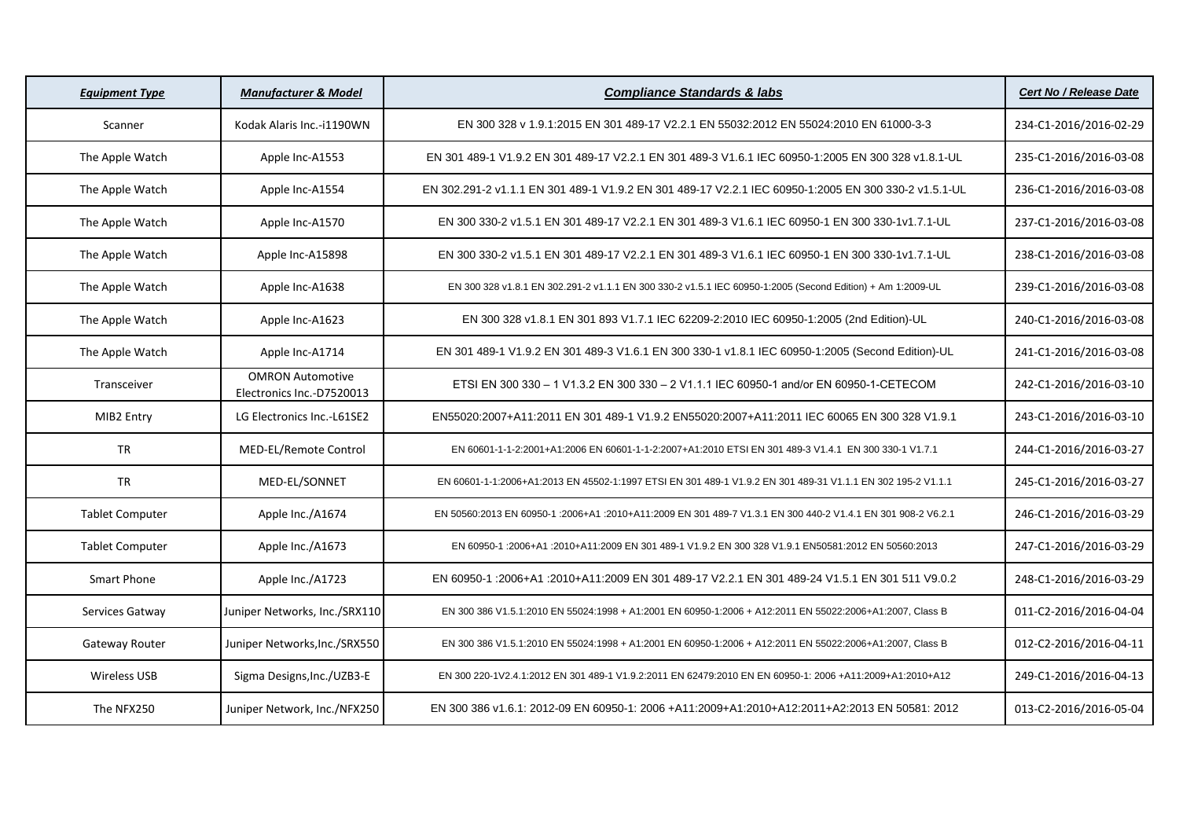| <b>Equipment Type</b>  | <b>Manufacturer &amp; Model</b>                      | <b>Compliance Standards &amp; labs</b>                                                                       | <b>Cert No / Release Date</b> |
|------------------------|------------------------------------------------------|--------------------------------------------------------------------------------------------------------------|-------------------------------|
| Scanner                | Kodak Alaris Inc.-i1190WN                            | EN 300 328 v 1.9.1:2015 EN 301 489-17 V2.2.1 EN 55032:2012 EN 55024:2010 EN 61000-3-3                        | 234-C1-2016/2016-02-29        |
| The Apple Watch        | Apple Inc-A1553                                      | EN 301 489-1 V1.9.2 EN 301 489-17 V2.2.1 EN 301 489-3 V1.6.1 IEC 60950-1:2005 EN 300 328 v1.8.1-UL           | 235-C1-2016/2016-03-08        |
| The Apple Watch        | Apple Inc-A1554                                      | EN 302.291-2 v1.1.1 EN 301 489-1 V1.9.2 EN 301 489-17 V2.2.1 IEC 60950-1:2005 EN 300 330-2 v1.5.1-UL         | 236-C1-2016/2016-03-08        |
| The Apple Watch        | Apple Inc-A1570                                      | EN 300 330-2 v1.5.1 EN 301 489-17 V2.2.1 EN 301 489-3 V1.6.1 IEC 60950-1 EN 300 330-1v1.7.1-UL               | 237-C1-2016/2016-03-08        |
| The Apple Watch        | Apple Inc-A15898                                     | EN 300 330-2 v1.5.1 EN 301 489-17 V2.2.1 EN 301 489-3 V1.6.1 IEC 60950-1 EN 300 330-1v1.7.1-UL               | 238-C1-2016/2016-03-08        |
| The Apple Watch        | Apple Inc-A1638                                      | EN 300 328 v1.8.1 EN 302.291-2 v1.1.1 EN 300 330-2 v1.5.1 IEC 60950-1:2005 (Second Edition) + Am 1:2009-UL   | 239-C1-2016/2016-03-08        |
| The Apple Watch        | Apple Inc-A1623                                      | EN 300 328 v1.8.1 EN 301 893 V1.7.1 IEC 62209-2:2010 IEC 60950-1:2005 (2nd Edition)-UL                       | 240-C1-2016/2016-03-08        |
| The Apple Watch        | Apple Inc-A1714                                      | EN 301 489-1 V1.9.2 EN 301 489-3 V1.6.1 EN 300 330-1 v1.8.1 IEC 60950-1:2005 (Second Edition)-UL             | 241-C1-2016/2016-03-08        |
| Transceiver            | <b>OMRON Automotive</b><br>Electronics Inc.-D7520013 | ETSI EN 300 330 - 1 V1.3.2 EN 300 330 - 2 V1.1.1 IEC 60950-1 and/or EN 60950-1-CETECOM                       | 242-C1-2016/2016-03-10        |
| MIB2 Entry             | LG Electronics Inc.-L61SE2                           | EN55020:2007+A11:2011 EN 301 489-1 V1.9.2 EN55020:2007+A11:2011 IEC 60065 EN 300 328 V1.9.1                  | 243-C1-2016/2016-03-10        |
| <b>TR</b>              | MED-EL/Remote Control                                | EN 60601-1-1-2:2001+A1:2006 EN 60601-1-1-2:2007+A1:2010 ETSI EN 301 489-3 V1.4.1 EN 300 330-1 V1.7.1         | 244-C1-2016/2016-03-27        |
| <b>TR</b>              | MED-EL/SONNET                                        | EN 60601-1-1:2006+A1:2013 EN 45502-1:1997 ETSI EN 301 489-1 V1.9.2 EN 301 489-31 V1.1.1 EN 302 195-2 V1.1.1  | 245-C1-2016/2016-03-27        |
| <b>Tablet Computer</b> | Apple Inc./A1674                                     | EN 50560:2013 EN 60950-1 :2006+A1 :2010+A11:2009 EN 301 489-7 V1.3.1 EN 300 440-2 V1.4.1 EN 301 908-2 V6.2.1 | 246-C1-2016/2016-03-29        |
| <b>Tablet Computer</b> | Apple Inc./A1673                                     | EN 60950-1 :2006+A1 :2010+A11:2009 EN 301 489-1 V1.9.2 EN 300 328 V1.9.1 EN50581:2012 EN 50560:2013          | 247-C1-2016/2016-03-29        |
| <b>Smart Phone</b>     | Apple Inc./A1723                                     | EN 60950-1 :2006+A1 :2010+A11:2009 EN 301 489-17 V2.2.1 EN 301 489-24 V1.5.1 EN 301 511 V9.0.2               | 248-C1-2016/2016-03-29        |
| Services Gatway        | Juniper Networks, Inc./SRX110                        | EN 300 386 V1.5.1:2010 EN 55024:1998 + A1:2001 EN 60950-1:2006 + A12:2011 EN 55022:2006+A1:2007, Class B     | 011-C2-2016/2016-04-04        |
| Gateway Router         | Juniper Networks, Inc./SRX550                        | EN 300 386 V1.5.1:2010 EN 55024:1998 + A1:2001 EN 60950-1:2006 + A12:2011 EN 55022:2006+A1:2007, Class B     | 012-C2-2016/2016-04-11        |
| Wireless USB           | Sigma Designs, Inc./UZB3-E                           | EN 300 220-1V2.4.1:2012 EN 301 489-1 V1.9.2:2011 EN 62479:2010 EN EN 60950-1: 2006 +A11:2009+A1:2010+A12     | 249-C1-2016/2016-04-13        |
| The NFX250             | Juniper Network, Inc./NFX250                         | EN 300 386 v1.6.1: 2012-09 EN 60950-1: 2006 +A11:2009+A1:2010+A12:2011+A2:2013 EN 50581: 2012                | 013-C2-2016/2016-05-04        |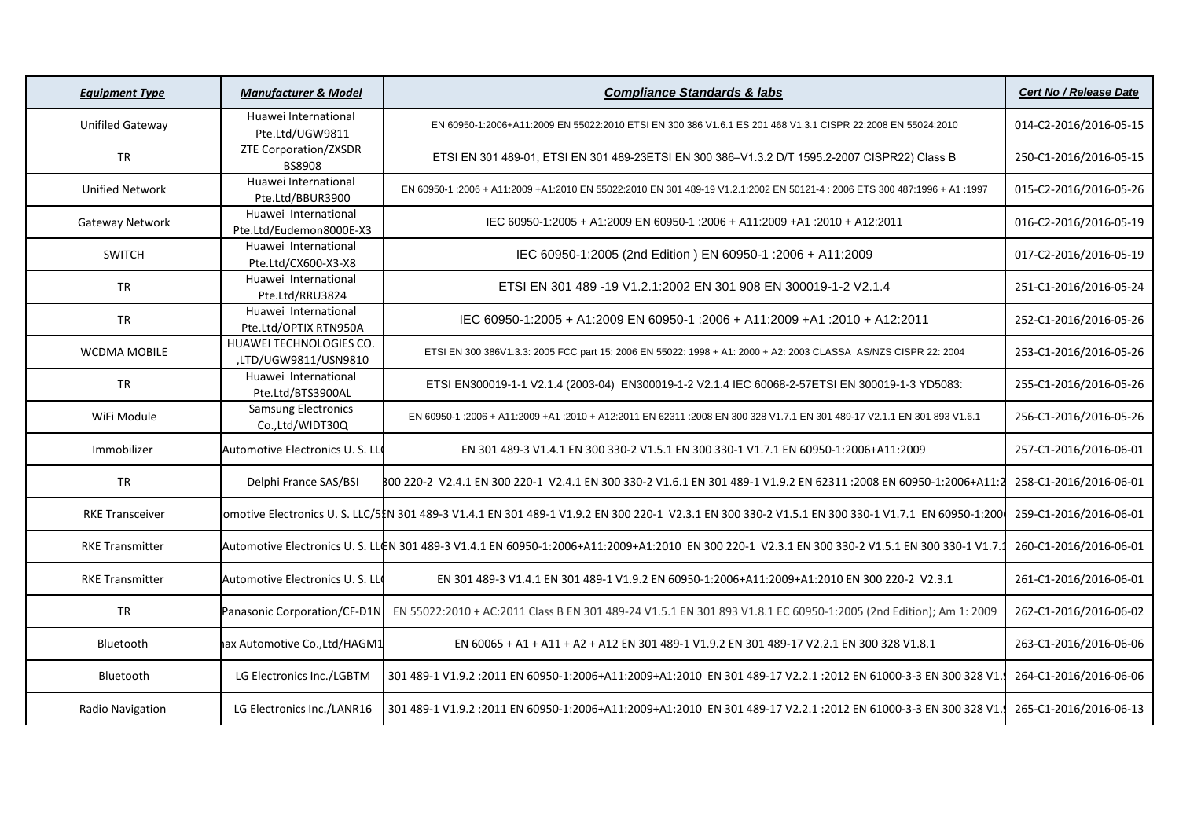| <b>Equipment Type</b>   | <b>Manufacturer &amp; Model</b>                 | <b>Compliance Standards &amp; labs</b>                                                                                                             | <b>Cert No / Release Date</b> |
|-------------------------|-------------------------------------------------|----------------------------------------------------------------------------------------------------------------------------------------------------|-------------------------------|
| <b>Unifiled Gateway</b> | Huawei International<br>Pte.Ltd/UGW9811         | EN 60950-1:2006+A11:2009 EN 55022:2010 ETSI EN 300 386 V1.6.1 ES 201 468 V1.3.1 CISPR 22:2008 EN 55024:2010                                        | 014-C2-2016/2016-05-15        |
| <b>TR</b>               | ZTE Corporation/ZXSDR<br><b>BS8908</b>          | ETSI EN 301 489-01, ETSI EN 301 489-23ETSI EN 300 386-V1.3.2 D/T 1595.2-2007 CISPR22) Class B                                                      | 250-C1-2016/2016-05-15        |
| <b>Unified Network</b>  | Huawei International<br>Pte.Ltd/BBUR3900        | EN 60950-1 :2006 + A11:2009 +A1:2010 EN 55022:2010 EN 301 489-19 V1.2.1:2002 EN 50121-4 : 2006 ETS 300 487:1996 + A1 :1997                         | 015-C2-2016/2016-05-26        |
| Gateway Network         | Huawei International<br>Pte.Ltd/Eudemon8000E-X3 | IEC 60950-1:2005 + A1:2009 EN 60950-1:2006 + A11:2009 +A1:2010 + A12:2011                                                                          | 016-C2-2016/2016-05-19        |
| <b>SWITCH</b>           | Huawei International<br>Pte.Ltd/CX600-X3-X8     | IEC 60950-1:2005 (2nd Edition) EN 60950-1:2006 + A11:2009                                                                                          | 017-C2-2016/2016-05-19        |
| TR                      | Huawei International<br>Pte.Ltd/RRU3824         | ETSI EN 301 489 -19 V1.2.1:2002 EN 301 908 EN 300019-1-2 V2.1.4                                                                                    | 251-C1-2016/2016-05-24        |
| <b>TR</b>               | Huawei International<br>Pte.Ltd/OPTIX RTN950A   | IEC 60950-1:2005 + A1:2009 EN 60950-1 :2006 + A11:2009 +A1 :2010 + A12:2011                                                                        | 252-C1-2016/2016-05-26        |
| <b>WCDMA MOBILE</b>     | HUAWEI TECHNOLOGIES CO.<br>,LTD/UGW9811/USN9810 | ETSI EN 300 386V1.3.3: 2005 FCC part 15: 2006 EN 55022: 1998 + A1: 2000 + A2: 2003 CLASSA AS/NZS CISPR 22: 2004                                    | 253-C1-2016/2016-05-26        |
| <b>TR</b>               | Huawei International<br>Pte.Ltd/BTS3900AL       | ETSI EN300019-1-1 V2.1.4 (2003-04) EN300019-1-2 V2.1.4 IEC 60068-2-57ETSI EN 300019-1-3 YD5083:                                                    | 255-C1-2016/2016-05-26        |
| WiFi Module             | <b>Samsung Electronics</b><br>Co.,Ltd/WIDT30Q   | EN 60950-1:2006 + A11:2009 +A1 :2010 + A12:2011 EN 62311 :2008 EN 300 328 V1.7.1 EN 301 489-17 V2.1.1 EN 301 893 V1.6.1                            | 256-C1-2016/2016-05-26        |
| Immobilizer             | Automotive Electronics U.S. LL                  | EN 301 489-3 V1.4.1 EN 300 330-2 V1.5.1 EN 300 330-1 V1.7.1 EN 60950-1:2006+A11:2009                                                               | 257-C1-2016/2016-06-01        |
| <b>TR</b>               | Delphi France SAS/BSI                           | B00 220-2 V2.4.1 EN 300 220-1 V2.4.1 EN 300 330-2 V1.6.1 EN 301 489-1 V1.9.2 EN 62311 :2008 EN 60950-1:2006+A11:2                                  | 258-C1-2016/2016-06-01        |
| <b>RKE Transceiver</b>  |                                                 | lomotive Electronics U. S. LLC/5】N 301 489-3 V1.4.1 EN 301 489-1 V1.9.2 EN 300 220-1 V2.3.1 EN 300 330-2 V1.5.1 EN 300 330-1 V1.7.1 EN 60950-1:200 | 259-C1-2016/2016-06-01        |
| <b>RKE Transmitter</b>  |                                                 | Automotive Electronics U.S. LLCN 301 489-3 V1.4.1 EN 60950-1:2006+A11:2009+A1:2010 EN 300 220-1 V2.3.1 EN 300 330-2 V1.5.1 EN 300 330-1 V1.7.      | 260-C1-2016/2016-06-01        |
| <b>RKE Transmitter</b>  | Automotive Electronics U.S. LL                  | EN 301 489-3 V1.4.1 EN 301 489-1 V1.9.2 EN 60950-1:2006+A11:2009+A1:2010 EN 300 220-2 V2.3.1                                                       | 261-C1-2016/2016-06-01        |
| <b>TR</b>               | Panasonic Corporation/CF-D1N                    | EN 55022:2010 + AC:2011 Class B EN 301 489-24 V1.5.1 EN 301 893 V1.8.1 EC 60950-1:2005 (2nd Edition); Am 1: 2009                                   | 262-C1-2016/2016-06-02        |
| Bluetooth               | ax Automotive Co., Ltd/HAGM1                    | EN 60065 + A1 + A11 + A2 + A12 EN 301 489-1 V1.9.2 EN 301 489-17 V2.2.1 EN 300 328 V1.8.1                                                          | 263-C1-2016/2016-06-06        |
| Bluetooth               | LG Electronics Inc./LGBTM                       | 301 489-1 V1.9.2 :2011 EN 60950-1:2006+A11:2009+A1:2010 EN 301 489-17 V2.2.1 :2012 EN 61000-3-3 EN 300 328 V1                                      | 264-C1-2016/2016-06-06        |
| Radio Navigation        | LG Electronics Inc./LANR16                      | 301 489-1 V1.9.2 :2011 EN 60950-1:2006+A11:2009+A1:2010 EN 301 489-17 V2.2.1 :2012 EN 61000-3-3 EN 300 328 V1.                                     | 265-C1-2016/2016-06-13        |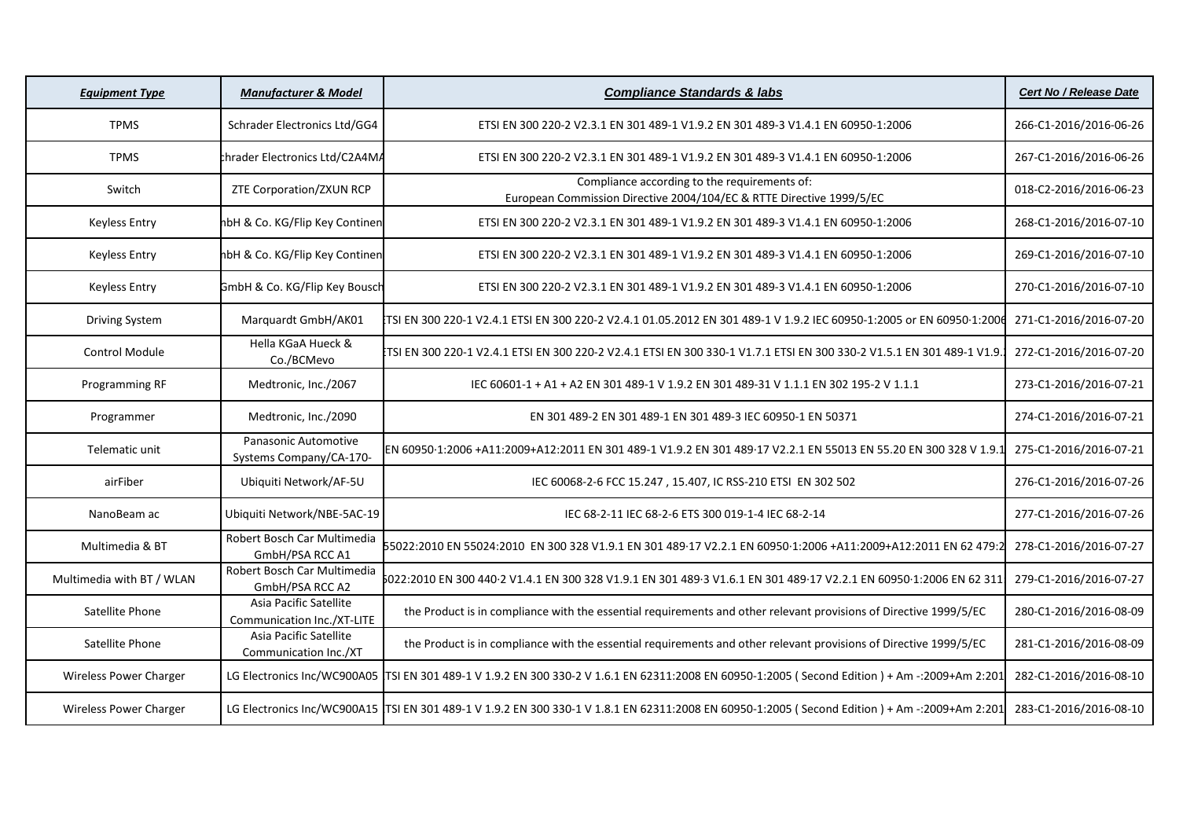| <b>Equipment Type</b>     | <b>Manufacturer &amp; Model</b>                      | <b>Compliance Standards &amp; labs</b>                                                                                                         | <b>Cert No / Release Date</b> |
|---------------------------|------------------------------------------------------|------------------------------------------------------------------------------------------------------------------------------------------------|-------------------------------|
| <b>TPMS</b>               | Schrader Electronics Ltd/GG4                         | ETSI EN 300 220-2 V2.3.1 EN 301 489-1 V1.9.2 EN 301 489-3 V1.4.1 EN 60950-1:2006                                                               | 266-C1-2016/2016-06-26        |
| <b>TPMS</b>               | thrader Electronics Ltd/C2A4MA                       | ETSI EN 300 220-2 V2.3.1 EN 301 489-1 V1.9.2 EN 301 489-3 V1.4.1 EN 60950-1:2006                                                               | 267-C1-2016/2016-06-26        |
| Switch                    | ZTE Corporation/ZXUN RCP                             | Compliance according to the requirements of:<br>European Commission Directive 2004/104/EC & RTTE Directive 1999/5/EC                           | 018-C2-2016/2016-06-23        |
| <b>Keyless Entry</b>      | hbH & Co. KG/Flip Key Continen                       | ETSI EN 300 220-2 V2.3.1 EN 301 489-1 V1.9.2 EN 301 489-3 V1.4.1 EN 60950-1:2006                                                               | 268-C1-2016/2016-07-10        |
| <b>Keyless Entry</b>      | hbH & Co. KG/Flip Key Continen                       | ETSI EN 300 220-2 V2.3.1 EN 301 489-1 V1.9.2 EN 301 489-3 V1.4.1 EN 60950-1:2006                                                               | 269-C1-2016/2016-07-10        |
| <b>Keyless Entry</b>      | GmbH & Co. KG/Flip Key Bousch                        | ETSI EN 300 220-2 V2.3.1 EN 301 489-1 V1.9.2 EN 301 489-3 V1.4.1 EN 60950-1:2006                                                               | 270-C1-2016/2016-07-10        |
| <b>Driving System</b>     | Marquardt GmbH/AK01                                  | TSI EN 300 220-1 V2.4.1 ETSI EN 300 220-2 V2.4.1 01.05.2012 EN 301 489-1 V 1.9.2 IEC 60950-1:2005 or EN 60950 1:2006                           | 271-C1-2016/2016-07-20        |
| <b>Control Module</b>     | Hella KGaA Hueck &<br>Co./BCMevo                     | .TSI EN 300 220-1 V2.4.1 ETSI EN 300 220-2 V2.4.1 ETSI EN 300 330-1 V1.7.1 ETSI EN 300 330-2 V1.5.1 EN 301 489-1 V1.9.                         | 272-C1-2016/2016-07-20        |
| Programming RF            | Medtronic, Inc./2067                                 | IEC 60601-1 + A1 + A2 EN 301 489-1 V 1.9.2 EN 301 489-31 V 1.1.1 EN 302 195-2 V 1.1.1                                                          | 273-C1-2016/2016-07-21        |
| Programmer                | Medtronic, Inc./2090                                 | EN 301 489-2 EN 301 489-1 EN 301 489-3 IEC 60950-1 EN 50371                                                                                    | 274-C1-2016/2016-07-21        |
| Telematic unit            | Panasonic Automotive<br>Systems Company/CA-170-      | EN 60950·1:2006 +A11:2009+A12:2011 EN 301 489-1 V1.9.2 EN 301 489·17 V2.2.1 EN 55013 EN 55.20 EN 300 328 V 1.9.1                               | 275-C1-2016/2016-07-21        |
| airFiber                  | Ubiquiti Network/AF-5U                               | IEC 60068-2-6 FCC 15.247, 15.407, IC RSS-210 ETSI EN 302 502                                                                                   | 276-C1-2016/2016-07-26        |
| NanoBeam ac               | Ubiquiti Network/NBE-5AC-19                          | IEC 68-2-11 IEC 68-2-6 ETS 300 019-1-4 IEC 68-2-14                                                                                             | 277-C1-2016/2016-07-26        |
| Multimedia & BT           | Robert Bosch Car Multimedia<br>GmbH/PSA RCC A1       | 55022:2010 EN 55024:2010 EN 300 328 V1.9.1 EN 301 489·17 V2.2.1 EN 60950·1:2006 +A11:2009+A12:2011 EN 62 479:2                                 | 278-C1-2016/2016-07-27        |
| Multimedia with BT / WLAN | Robert Bosch Car Multimedia<br>GmbH/PSA RCC A2       | 5022:2010 EN 300 440·2 V1.4.1 EN 300 328 V1.9.1 EN 301 489·3 V1.6.1 EN 301 489·17 V2.2.1 EN 60950·1:2006 EN 62 311                             | 279-C1-2016/2016-07-27        |
| Satellite Phone           | Asia Pacific Satellite<br>Communication Inc./XT-LITE | the Product is in compliance with the essential requirements and other relevant provisions of Directive 1999/5/EC                              | 280-C1-2016/2016-08-09        |
| Satellite Phone           | Asia Pacific Satellite<br>Communication Inc./XT      | the Product is in compliance with the essential requirements and other relevant provisions of Directive 1999/5/EC                              | 281-C1-2016/2016-08-09        |
| Wireless Power Charger    |                                                      | LG Electronics Inc/WC900A05 TSI EN 301 489-1 V 1.9.2 EN 300 330-2 V 1.6.1 EN 62311:2008 EN 60950-1:2005 (Second Edition) + Am -: 2009+Am 2:201 | 282-C1-2016/2016-08-10        |
| Wireless Power Charger    |                                                      | LG Electronics Inc/WC900A15 TSI EN 301 489-1 V 1.9.2 EN 300 330-1 V 1.8.1 EN 62311:2008 EN 60950-1:2005 (Second Edition) + Am -: 2009+Am 2:201 | 283-C1-2016/2016-08-10        |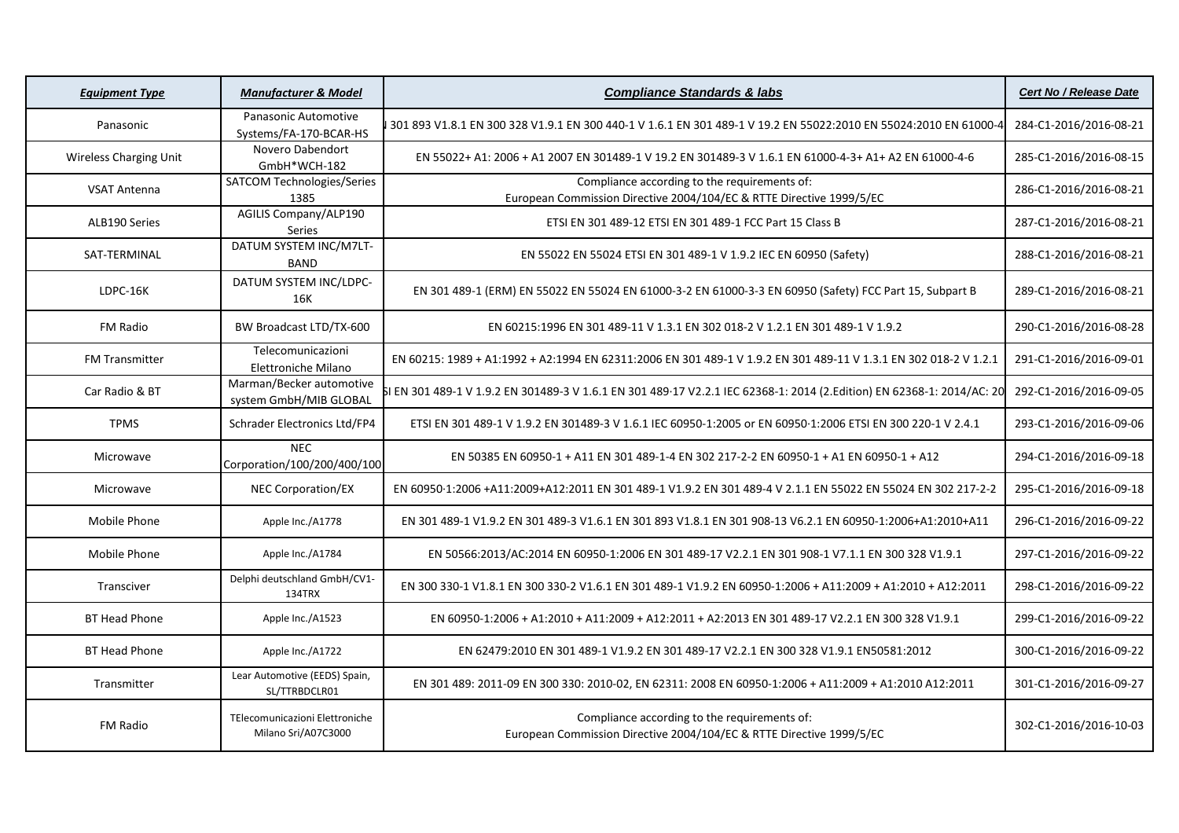| <b>Equipment Type</b>         | <b>Manufacturer &amp; Model</b>                       | <b>Compliance Standards &amp; labs</b>                                                                                 | Cert No / Release Date |
|-------------------------------|-------------------------------------------------------|------------------------------------------------------------------------------------------------------------------------|------------------------|
| Panasonic                     | Panasonic Automotive<br>Systems/FA-170-BCAR-HS        | 301 893 V1.8.1 EN 300 328 V1.9.1 EN 300 440-1 V 1.6.1 EN 301 489-1 V 19.2 EN 55022:2010 EN 55024:2010 EN 61000-4       | 284-C1-2016/2016-08-21 |
| <b>Wireless Charging Unit</b> | Novero Dabendort<br>GmbH*WCH-182                      | EN 55022+ A1: 2006 + A1 2007 EN 301489-1 V 19.2 EN 301489-3 V 1.6.1 EN 61000-4-3+ A1+ A2 EN 61000-4-6                  | 285-C1-2016/2016-08-15 |
| <b>VSAT Antenna</b>           | SATCOM Technologies/Series<br>1385                    | Compliance according to the requirements of:<br>European Commission Directive 2004/104/EC & RTTE Directive 1999/5/EC   | 286-C1-2016/2016-08-21 |
| ALB190 Series                 | <b>AGILIS Company/ALP190</b><br>Series                | ETSI EN 301 489-12 ETSI EN 301 489-1 FCC Part 15 Class B                                                               | 287-C1-2016/2016-08-21 |
| SAT-TERMINAL                  | DATUM SYSTEM INC/M7LT-<br><b>BAND</b>                 | EN 55022 EN 55024 ETSI EN 301 489-1 V 1.9.2 IEC EN 60950 (Safety)                                                      | 288-C1-2016/2016-08-21 |
| LDPC-16K                      | DATUM SYSTEM INC/LDPC-<br>16K                         | EN 301 489-1 (ERM) EN 55022 EN 55024 EN 61000-3-2 EN 61000-3-3 EN 60950 (Safety) FCC Part 15, Subpart B                | 289-C1-2016/2016-08-21 |
| FM Radio                      | BW Broadcast LTD/TX-600                               | EN 60215:1996 EN 301 489-11 V 1.3.1 EN 302 018-2 V 1.2.1 EN 301 489-1 V 1.9.2                                          | 290-C1-2016/2016-08-28 |
| <b>FM Transmitter</b>         | Telecomunicazioni<br>Elettroniche Milano              | EN 60215: 1989 + A1:1992 + A2:1994 EN 62311:2006 EN 301 489-1 V 1.9.2 EN 301 489-11 V 1.3.1 EN 302 018-2 V 1.2.1       | 291-C1-2016/2016-09-01 |
| Car Radio & BT                | Marman/Becker automotive<br>system GmbH/MIB GLOBAL    | il EN 301 489-1 V 1.9.2 EN 301489-3 V 1.6.1 EN 301 489·17 V2.2.1 IEC 62368-1: 2014 (2.Edition) EN 62368-1: 2014/AC: 20 | 292-C1-2016/2016-09-05 |
| <b>TPMS</b>                   | Schrader Electronics Ltd/FP4                          | ETSI EN 301 489-1 V 1.9.2 EN 301489-3 V 1.6.1 IEC 60950-1:2005 or EN 60950-1:2006 ETSI EN 300 220-1 V 2.4.1            | 293-C1-2016/2016-09-06 |
| Microwave                     | <b>NEC</b><br>Corporation/100/200/400/100             | EN 50385 EN 60950-1 + A11 EN 301 489-1-4 EN 302 217-2-2 EN 60950-1 + A1 EN 60950-1 + A12                               | 294-C1-2016/2016-09-18 |
| Microwave                     | <b>NEC Corporation/EX</b>                             | EN 60950·1:2006 +A11:2009+A12:2011 EN 301 489-1 V1.9.2 EN 301 489-4 V 2.1.1 EN 55022 EN 55024 EN 302 217-2-2           | 295-C1-2016/2016-09-18 |
| Mobile Phone                  | Apple Inc./A1778                                      | EN 301 489-1 V1.9.2 EN 301 489-3 V1.6.1 EN 301 893 V1.8.1 EN 301 908-13 V6.2.1 EN 60950-1:2006+A1:2010+A11             | 296-C1-2016/2016-09-22 |
| Mobile Phone                  | Apple Inc./A1784                                      | EN 50566:2013/AC:2014 EN 60950-1:2006 EN 301 489-17 V2.2.1 EN 301 908-1 V7.1.1 EN 300 328 V1.9.1                       | 297-C1-2016/2016-09-22 |
| Transciver                    | Delphi deutschland GmbH/CV1-<br>134TRX                | EN 300 330-1 V1.8.1 EN 300 330-2 V1.6.1 EN 301 489-1 V1.9.2 EN 60950-1:2006 + A11:2009 + A1:2010 + A12:2011            | 298-C1-2016/2016-09-22 |
| <b>BT Head Phone</b>          | Apple Inc./A1523                                      | EN 60950-1:2006 + A1:2010 + A11:2009 + A12:2011 + A2:2013 EN 301 489-17 V2.2.1 EN 300 328 V1.9.1                       | 299-C1-2016/2016-09-22 |
| <b>BT Head Phone</b>          | Apple Inc./A1722                                      | EN 62479:2010 EN 301 489-1 V1.9.2 EN 301 489-17 V2.2.1 EN 300 328 V1.9.1 EN50581:2012                                  | 300-C1-2016/2016-09-22 |
| Transmitter                   | Lear Automotive (EEDS) Spain,<br>SL/TTRBDCLR01        | EN 301 489: 2011-09 EN 300 330: 2010-02, EN 62311: 2008 EN 60950-1:2006 + A11:2009 + A1:2010 A12:2011                  | 301-C1-2016/2016-09-27 |
| <b>FM Radio</b>               | TElecomunicazioni Elettroniche<br>Milano Sri/A07C3000 | Compliance according to the requirements of:<br>European Commission Directive 2004/104/EC & RTTE Directive 1999/5/EC   | 302-C1-2016/2016-10-03 |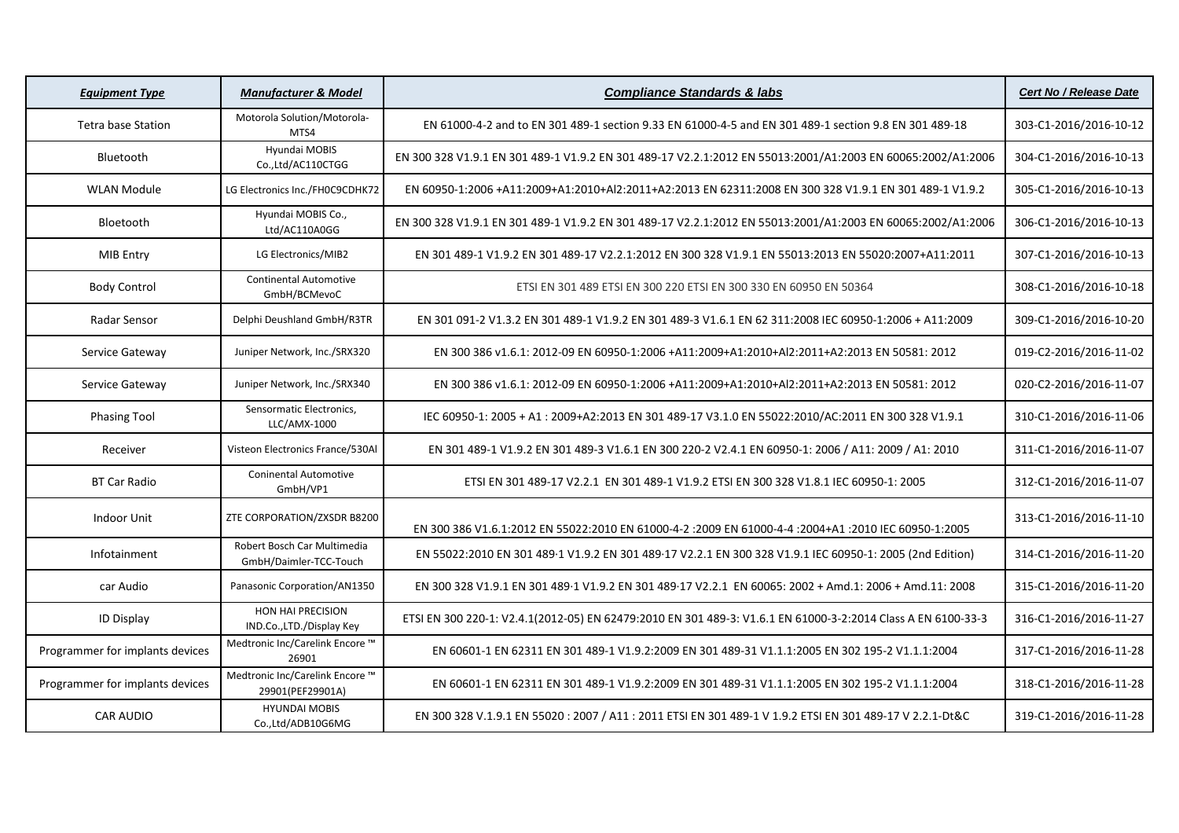| <b>Equipment Type</b>           | <b>Manufacturer &amp; Model</b>                       | <b>Compliance Standards &amp; labs</b>                                                                       | <b>Cert No / Release Date</b> |
|---------------------------------|-------------------------------------------------------|--------------------------------------------------------------------------------------------------------------|-------------------------------|
| <b>Tetra base Station</b>       | Motorola Solution/Motorola-<br>MTS4                   | EN 61000-4-2 and to EN 301 489-1 section 9.33 EN 61000-4-5 and EN 301 489-1 section 9.8 EN 301 489-18        | 303-C1-2016/2016-10-12        |
| Bluetooth                       | Hyundai MOBIS<br>Co.,Ltd/AC110CTGG                    | EN 300 328 V1.9.1 EN 301 489-1 V1.9.2 EN 301 489-17 V2.2.1:2012 EN 55013:2001/A1:2003 EN 60065:2002/A1:2006  | 304-C1-2016/2016-10-13        |
| <b>WLAN Module</b>              | LG Electronics Inc./FH0C9CDHK72                       | EN 60950-1:2006 +A11:2009+A1:2010+Al2:2011+A2:2013 EN 62311:2008 EN 300 328 V1.9.1 EN 301 489-1 V1.9.2       | 305-C1-2016/2016-10-13        |
| Bloetooth                       | Hyundai MOBIS Co.,<br>Ltd/AC110A0GG                   | EN 300 328 V1.9.1 EN 301 489-1 V1.9.2 EN 301 489-17 V2.2.1:2012 EN 55013:2001/A1:2003 EN 60065:2002/A1:2006  | 306-C1-2016/2016-10-13        |
| MIB Entry                       | LG Electronics/MIB2                                   | EN 301 489-1 V1.9.2 EN 301 489-17 V2.2.1:2012 EN 300 328 V1.9.1 EN 55013:2013 EN 55020:2007+A11:2011         | 307-C1-2016/2016-10-13        |
| <b>Body Control</b>             | <b>Continental Automotive</b><br>GmbH/BCMevoC         | ETSI EN 301 489 ETSI EN 300 220 ETSI EN 300 330 EN 60950 EN 50364                                            | 308-C1-2016/2016-10-18        |
| Radar Sensor                    | Delphi Deushland GmbH/R3TR                            | EN 301 091-2 V1.3.2 EN 301 489-1 V1.9.2 EN 301 489-3 V1.6.1 EN 62 311:2008 IEC 60950-1:2006 + A11:2009       | 309-C1-2016/2016-10-20        |
| Service Gateway                 | Juniper Network, Inc./SRX320                          | EN 300 386 v1.6.1: 2012-09 EN 60950-1:2006 +A11:2009+A1:2010+Al2:2011+A2:2013 EN 50581: 2012                 | 019-C2-2016/2016-11-02        |
| Service Gateway                 | Juniper Network, Inc./SRX340                          | EN 300 386 v1.6.1: 2012-09 EN 60950-1:2006 +A11:2009+A1:2010+Al2:2011+A2:2013 EN 50581: 2012                 | 020-C2-2016/2016-11-07        |
| <b>Phasing Tool</b>             | Sensormatic Electronics,<br>LLC/AMX-1000              | IEC 60950-1: 2005 + A1: 2009+A2:2013 EN 301 489-17 V3.1.0 EN 55022:2010/AC:2011 EN 300 328 V1.9.1            | 310-C1-2016/2016-11-06        |
| Receiver                        | Visteon Electronics France/530Al                      | EN 301 489-1 V1.9.2 EN 301 489-3 V1.6.1 EN 300 220-2 V2.4.1 EN 60950-1: 2006 / A11: 2009 / A1: 2010          | 311-C1-2016/2016-11-07        |
| <b>BT Car Radio</b>             | <b>Coninental Automotive</b><br>GmbH/VP1              | ETSI EN 301 489-17 V2.2.1 EN 301 489-1 V1.9.2 ETSI EN 300 328 V1.8.1 IEC 60950-1: 2005                       | 312-C1-2016/2016-11-07        |
| <b>Indoor Unit</b>              | ZTE CORPORATION/ZXSDR B8200                           | EN 300 386 V1.6.1:2012 EN 55022:2010 EN 61000-4-2 :2009 EN 61000-4-4 :2004+A1 :2010 IEC 60950-1:2005         | 313-C1-2016/2016-11-10        |
| Infotainment                    | Robert Bosch Car Multimedia<br>GmbH/Daimler-TCC-Touch | EN 55022:2010 EN 301 489.1 V1.9.2 EN 301 489.17 V2.2.1 EN 300 328 V1.9.1 IEC 60950-1: 2005 (2nd Edition)     | 314-C1-2016/2016-11-20        |
| car Audio                       | Panasonic Corporation/AN1350                          | EN 300 328 V1.9.1 EN 301 489·1 V1.9.2 EN 301 489·17 V2.2.1 EN 60065: 2002 + Amd.1: 2006 + Amd.11: 2008       | 315-C1-2016/2016-11-20        |
| <b>ID Display</b>               | HON HAI PRECISION<br>IND.Co.,LTD./Display Key         | ETSI EN 300 220-1: V2.4.1(2012-05) EN 62479:2010 EN 301 489-3: V1.6.1 EN 61000-3-2:2014 Class A EN 6100-33-3 | 316-C1-2016/2016-11-27        |
| Programmer for implants devices | Medtronic Inc/Carelink Encore ™<br>26901              | EN 60601-1 EN 62311 EN 301 489-1 V1.9.2:2009 EN 301 489-31 V1.1.1:2005 EN 302 195-2 V1.1.1:2004              | 317-C1-2016/2016-11-28        |
| Programmer for implants devices | Medtronic Inc/Carelink Encore ™<br>29901(PEF29901A)   | EN 60601-1 EN 62311 EN 301 489-1 V1.9.2:2009 EN 301 489-31 V1.1.1:2005 EN 302 195-2 V1.1.1:2004              | 318-C1-2016/2016-11-28        |
| <b>CAR AUDIO</b>                | <b>HYUNDAI MOBIS</b><br>Co.,Ltd/ADB10G6MG             | EN 300 328 V.1.9.1 EN 55020 : 2007 / A11 : 2011 ETSI EN 301 489-1 V 1.9.2 ETSI EN 301 489-17 V 2.2.1-Dt&C    | 319-C1-2016/2016-11-28        |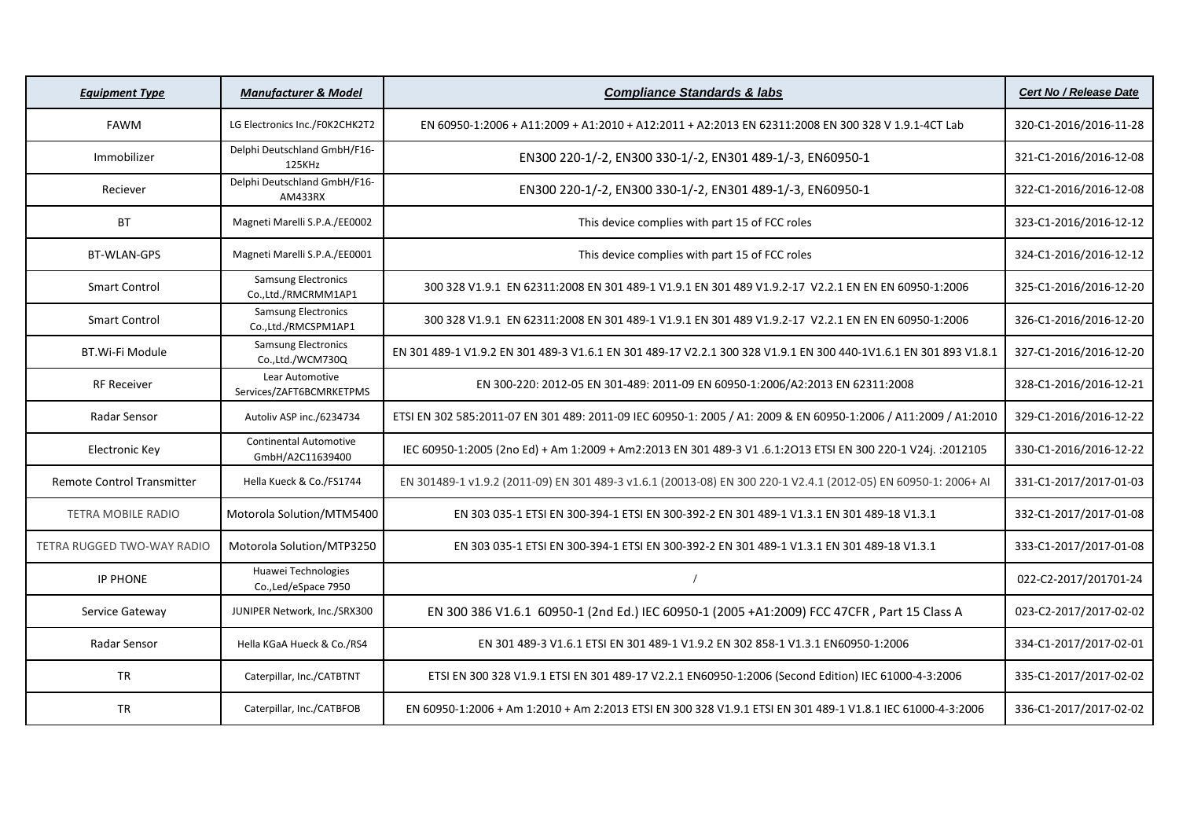| <b>Equipment Type</b>             | <b>Manufacturer &amp; Model</b>                   | <b>Compliance Standards &amp; labs</b>                                                                           | <b>Cert No / Release Date</b> |
|-----------------------------------|---------------------------------------------------|------------------------------------------------------------------------------------------------------------------|-------------------------------|
| <b>FAWM</b>                       | LG Electronics Inc./F0K2CHK2T2                    | EN 60950-1:2006 + A11:2009 + A1:2010 + A12:2011 + A2:2013 EN 62311:2008 EN 300 328 V 1.9.1-4CT Lab               | 320-C1-2016/2016-11-28        |
| Immobilizer                       | Delphi Deutschland GmbH/F16-<br>125KHz            | EN300 220-1/-2, EN300 330-1/-2, EN301 489-1/-3, EN60950-1                                                        | 321-C1-2016/2016-12-08        |
| Reciever                          | Delphi Deutschland GmbH/F16-<br>AM433RX           | EN300 220-1/-2, EN300 330-1/-2, EN301 489-1/-3, EN60950-1                                                        | 322-C1-2016/2016-12-08        |
| <b>BT</b>                         | Magneti Marelli S.P.A./EE0002                     | This device complies with part 15 of FCC roles                                                                   | 323-C1-2016/2016-12-12        |
| <b>BT-WLAN-GPS</b>                | Magneti Marelli S.P.A./EE0001                     | This device complies with part 15 of FCC roles                                                                   | 324-C1-2016/2016-12-12        |
| <b>Smart Control</b>              | <b>Samsung Electronics</b><br>Co.,Ltd./RMCRMM1AP1 | 300 328 V1.9.1 EN 62311:2008 EN 301 489-1 V1.9.1 EN 301 489 V1.9.2-17 V2.2.1 EN EN EN 60950-1:2006               | 325-C1-2016/2016-12-20        |
| <b>Smart Control</b>              | <b>Samsung Electronics</b><br>Co.,Ltd./RMCSPM1AP1 | 300 328 V1.9.1 EN 62311:2008 EN 301 489-1 V1.9.1 EN 301 489 V1.9.2-17 V2.2.1 EN EN EN 60950-1:2006               | 326-C1-2016/2016-12-20        |
| BT.Wi-Fi Module                   | <b>Samsung Electronics</b><br>Co.,Ltd./WCM730Q    | EN 301 489-1 V1.9.2 EN 301 489-3 V1.6.1 EN 301 489-17 V2.2.1 300 328 V1.9.1 EN 300 440-1V1.6.1 EN 301 893 V1.8.1 | 327-C1-2016/2016-12-20        |
| <b>RF Receiver</b>                | Lear Automotive<br>Services/ZAFT6BCMRKETPMS       | EN 300-220: 2012-05 EN 301-489: 2011-09 EN 60950-1:2006/A2:2013 EN 62311:2008                                    | 328-C1-2016/2016-12-21        |
| Radar Sensor                      | Autoliv ASP inc./6234734                          | ETSI EN 302 585:2011-07 EN 301 489: 2011-09 IEC 60950-1: 2005 / A1: 2009 & EN 60950-1:2006 / A11:2009 / A1:2010  | 329-C1-2016/2016-12-22        |
| <b>Electronic Key</b>             | <b>Continental Automotive</b><br>GmbH/A2C11639400 | IEC 60950-1:2005 (2no Ed) + Am 1:2009 + Am2:2013 EN 301 489-3 V1 .6.1:2013 ETSI EN 300 220-1 V24j. :2012105      | 330-C1-2016/2016-12-22        |
| Remote Control Transmitter        | Hella Kueck & Co./FS1744                          | EN 301489-1 v1.9.2 (2011-09) EN 301 489-3 v1.6.1 (20013-08) EN 300 220-1 V2.4.1 (2012-05) EN 60950-1: 2006+ AI   | 331-C1-2017/2017-01-03        |
| <b>TETRA MOBILE RADIO</b>         | Motorola Solution/MTM5400                         | EN 303 035-1 ETSI EN 300-394-1 ETSI EN 300-392-2 EN 301 489-1 V1.3.1 EN 301 489-18 V1.3.1                        | 332-C1-2017/2017-01-08        |
| <b>TETRA RUGGED TWO-WAY RADIO</b> | Motorola Solution/MTP3250                         | EN 303 035-1 ETSI EN 300-394-1 ETSI EN 300-392-2 EN 301 489-1 V1.3.1 EN 301 489-18 V1.3.1                        | 333-C1-2017/2017-01-08        |
| <b>IP PHONE</b>                   | Huawei Technologies<br>Co., Led/eSpace 7950       |                                                                                                                  | 022-C2-2017/201701-24         |
| Service Gateway                   | JUNIPER Network, Inc./SRX300                      | EN 300 386 V1.6.1 60950-1 (2nd Ed.) IEC 60950-1 (2005 +A1:2009) FCC 47CFR, Part 15 Class A                       | 023-C2-2017/2017-02-02        |
| Radar Sensor                      | Hella KGaA Hueck & Co./RS4                        | EN 301 489-3 V1.6.1 ETSI EN 301 489-1 V1.9.2 EN 302 858-1 V1.3.1 EN60950-1:2006                                  | 334-C1-2017/2017-02-01        |
| <b>TR</b>                         | Caterpillar, Inc./CATBTNT                         | ETSI EN 300 328 V1.9.1 ETSI EN 301 489-17 V2.2.1 EN60950-1:2006 (Second Edition) IEC 61000-4-3:2006              | 335-C1-2017/2017-02-02        |
| <b>TR</b>                         | Caterpillar, Inc./CATBFOB                         | EN 60950-1:2006 + Am 1:2010 + Am 2:2013 ETSI EN 300 328 V1.9.1 ETSI EN 301 489-1 V1.8.1 IEC 61000-4-3:2006       | 336-C1-2017/2017-02-02        |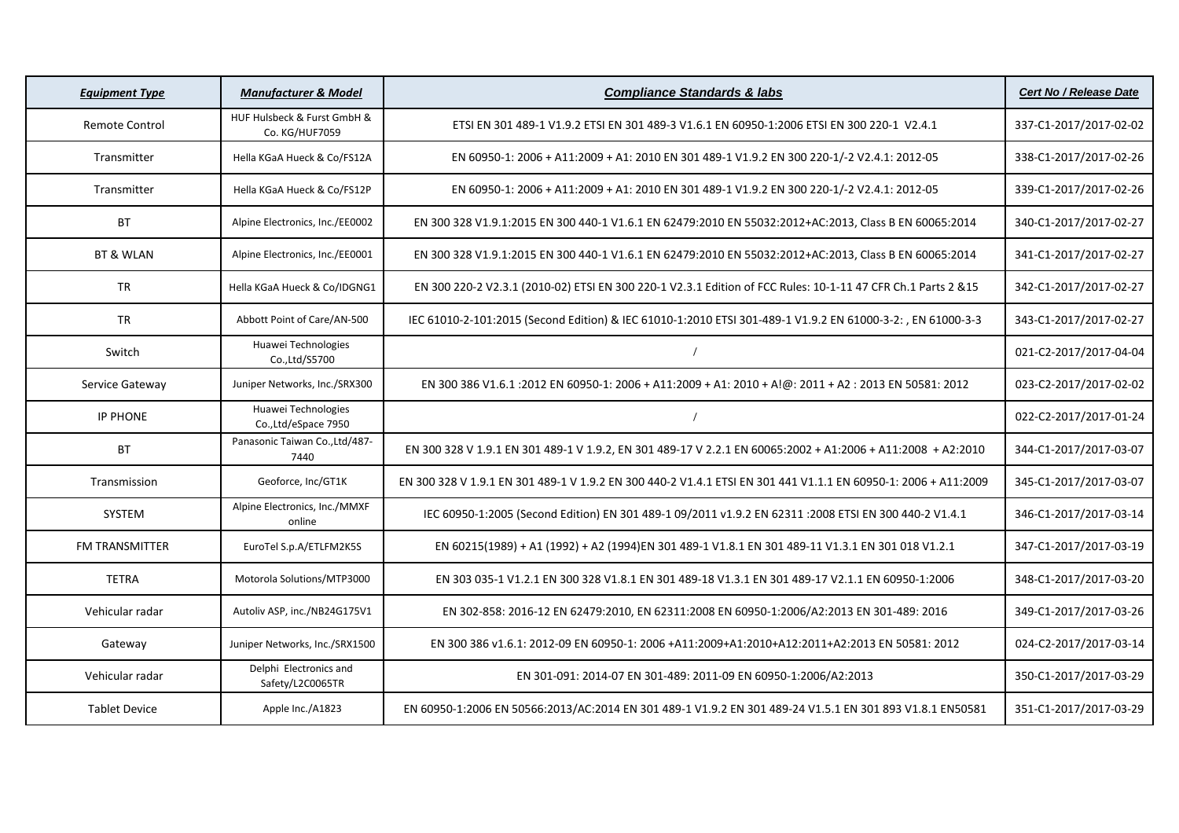| <b>Equipment Type</b> | <b>Manufacturer &amp; Model</b>               | <b>Compliance Standards &amp; labs</b>                                                                         | <b>Cert No / Release Date</b> |
|-----------------------|-----------------------------------------------|----------------------------------------------------------------------------------------------------------------|-------------------------------|
| <b>Remote Control</b> | HUF Hulsbeck & Furst GmbH &<br>Co. KG/HUF7059 | ETSI EN 301 489-1 V1.9.2 ETSI EN 301 489-3 V1.6.1 EN 60950-1:2006 ETSI EN 300 220-1 V2.4.1                     | 337-C1-2017/2017-02-02        |
| Transmitter           | Hella KGaA Hueck & Co/FS12A                   | EN 60950-1: 2006 + A11:2009 + A1: 2010 EN 301 489-1 V1.9.2 EN 300 220-1/-2 V2.4.1: 2012-05                     | 338-C1-2017/2017-02-26        |
| Transmitter           | Hella KGaA Hueck & Co/FS12P                   | EN 60950-1: 2006 + A11:2009 + A1: 2010 EN 301 489-1 V1.9.2 EN 300 220-1/-2 V2.4.1: 2012-05                     | 339-C1-2017/2017-02-26        |
| <b>BT</b>             | Alpine Electronics, Inc./EE0002               | EN 300 328 V1.9.1:2015 EN 300 440-1 V1.6.1 EN 62479:2010 EN 55032:2012+AC:2013, Class B EN 60065:2014          | 340-C1-2017/2017-02-27        |
| BT & WLAN             | Alpine Electronics, Inc./EE0001               | EN 300 328 V1.9.1:2015 EN 300 440-1 V1.6.1 EN 62479:2010 EN 55032:2012+AC:2013, Class B EN 60065:2014          | 341-C1-2017/2017-02-27        |
| <b>TR</b>             | Hella KGaA Hueck & Co/IDGNG1                  | EN 300 220-2 V2.3.1 (2010-02) ETSI EN 300 220-1 V2.3.1 Edition of FCC Rules: 10-1-11 47 CFR Ch.1 Parts 2 &15   | 342-C1-2017/2017-02-27        |
| <b>TR</b>             | Abbott Point of Care/AN-500                   | IEC 61010-2-101:2015 (Second Edition) & IEC 61010-1:2010 ETSI 301-489-1 V1.9.2 EN 61000-3-2:, EN 61000-3-3     | 343-C1-2017/2017-02-27        |
| Switch                | Huawei Technologies<br>Co., Ltd/S5700         |                                                                                                                | 021-C2-2017/2017-04-04        |
| Service Gateway       | Juniper Networks, Inc./SRX300                 | EN 300 386 V1.6.1 :2012 EN 60950-1: 2006 + A11:2009 + A1: 2010 + A!@: 2011 + A2: 2013 EN 50581: 2012           | 023-C2-2017/2017-02-02        |
| <b>IP PHONE</b>       | Huawei Technologies<br>Co., Ltd/eSpace 7950   |                                                                                                                | 022-C2-2017/2017-01-24        |
| <b>BT</b>             | Panasonic Taiwan Co., Ltd/487-<br>7440        | EN 300 328 V 1.9.1 EN 301 489-1 V 1.9.2, EN 301 489-17 V 2.2.1 EN 60065:2002 + A1:2006 + A11:2008 + A2:2010    | 344-C1-2017/2017-03-07        |
| Transmission          | Geoforce, Inc/GT1K                            | EN 300 328 V 1.9.1 EN 301 489-1 V 1.9.2 EN 300 440-2 V1.4.1 ETSI EN 301 441 V1.1.1 EN 60950-1: 2006 + A11:2009 | 345-C1-2017/2017-03-07        |
| <b>SYSTEM</b>         | Alpine Electronics, Inc./MMXF<br>online       | IEC 60950-1:2005 (Second Edition) EN 301 489-1 09/2011 v1.9.2 EN 62311 :2008 ETSI EN 300 440-2 V1.4.1          | 346-C1-2017/2017-03-14        |
| FM TRANSMITTER        | EuroTel S.p.A/ETLFM2K5S                       | EN 60215(1989) + A1 (1992) + A2 (1994)EN 301 489-1 V1.8.1 EN 301 489-11 V1.3.1 EN 301 018 V1.2.1               | 347-C1-2017/2017-03-19        |
| <b>TETRA</b>          | Motorola Solutions/MTP3000                    | EN 303 035-1 V1.2.1 EN 300 328 V1.8.1 EN 301 489-18 V1.3.1 EN 301 489-17 V2.1.1 EN 60950-1:2006                | 348-C1-2017/2017-03-20        |
| Vehicular radar       | Autoliv ASP, inc./NB24G175V1                  | EN 302-858: 2016-12 EN 62479:2010, EN 62311:2008 EN 60950-1:2006/A2:2013 EN 301-489: 2016                      | 349-C1-2017/2017-03-26        |
| Gateway               | Juniper Networks, Inc./SRX1500                | EN 300 386 v1.6.1: 2012-09 EN 60950-1: 2006 +A11:2009+A1:2010+A12:2011+A2:2013 EN 50581: 2012                  | 024-C2-2017/2017-03-14        |
| Vehicular radar       | Delphi Electronics and<br>Safety/L2C0065TR    | EN 301-091: 2014-07 EN 301-489: 2011-09 EN 60950-1:2006/A2:2013                                                | 350-C1-2017/2017-03-29        |
| <b>Tablet Device</b>  | Apple Inc./A1823                              | EN 60950-1:2006 EN 50566:2013/AC:2014 EN 301 489-1 V1.9.2 EN 301 489-24 V1.5.1 EN 301 893 V1.8.1 EN50581       | 351-C1-2017/2017-03-29        |